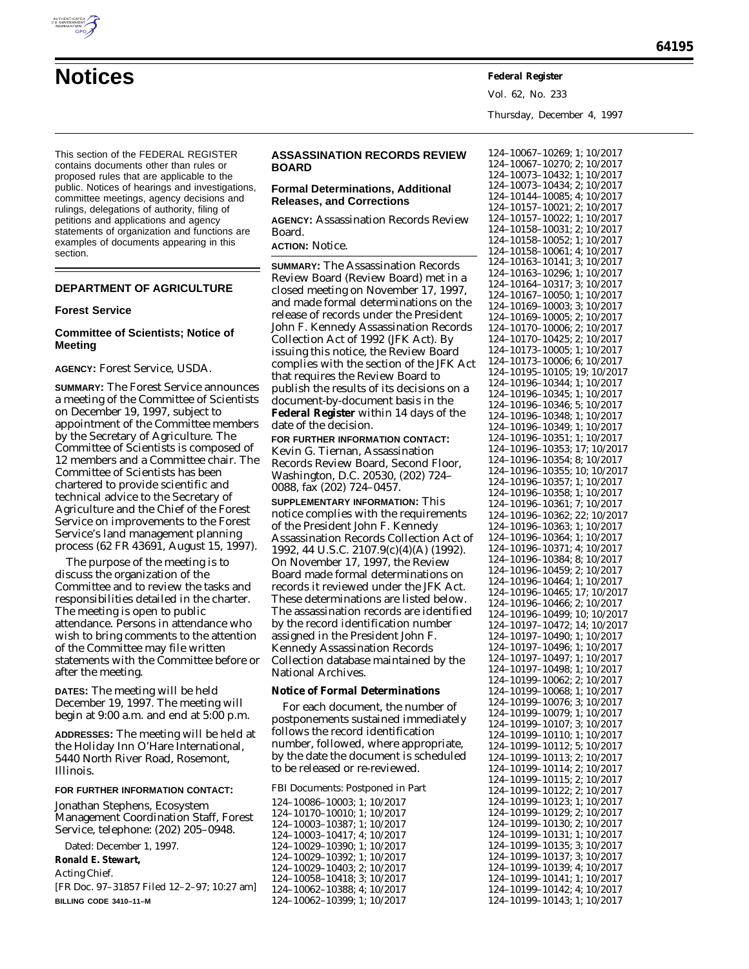

Vol. 62, No. 233

Thursday, December 4, 1997

This section of the FEDERAL REGISTER contains documents other than rules or proposed rules that are applicable to the public. Notices of hearings and investigations, committee meetings, agency decisions and rulings, delegations of authority, filing of petitions and applications and agency statements of organization and functions are examples of documents appearing in this section.

# **DEPARTMENT OF AGRICULTURE**

#### **Forest Service**

### **Committee of Scientists; Notice of Meeting**

**AGENCY:** Forest Service, USDA.

**SUMMARY:** The Forest Service announces a meeting of the Committee of Scientists on December 19, 1997, subject to appointment of the Committee members by the Secretary of Agriculture. The Committee of Scientists is composed of 12 members and a Committee chair. The Committee of Scientists has been chartered to provide scientific and technical advice to the Secretary of Agriculture and the Chief of the Forest Service on improvements to the Forest Service's land management planning process (62 FR 43691, August 15, 1997).

The purpose of the meeting is to discuss the organization of the Committee and to review the tasks and responsibilities detailed in the charter. The meeting is open to public attendance. Persons in attendance who wish to bring comments to the attention of the Committee may file written statements with the Committee before or after the meeting.

**DATES:** The meeting will be held December 19, 1997. The meeting will begin at 9:00 a.m. and end at 5:00 p.m.

**ADDRESSES:** The meeting will be held at the Holiday Inn O'Hare International, 5440 North River Road, Rosemont, Illinois.

### **FOR FURTHER INFORMATION CONTACT:**

Jonathan Stephens, Ecosystem Management Coordination Staff, Forest Service, telephone: (202) 205–0948.

Dated: December 1, 1997.

**Ronald E. Stewart,**

*Acting Chief.*

[FR Doc. 97–31857 Filed 12–2–97; 10:27 am] **BILLING CODE 3410–11–M**

# **ASSASSINATION RECORDS REVIEW BOARD**

# **Formal Determinations, Additional Releases, and Corrections**

**AGENCY:** Assassination Records Review Board.

# **ACTION:** Notice.

**SUMMARY:** The Assassination Records Review Board (Review Board) met in a closed meeting on November 17, 1997, and made formal determinations on the release of records under the President John F. Kennedy Assassination Records Collection Act of 1992 (JFK Act). By issuing this notice, the Review Board complies with the section of the JFK Act that requires the Review Board to publish the results of its decisions on a document-by-document basis in the **Federal Register** within 14 days of the date of the decision.

**FOR FURTHER INFORMATION CONTACT:** Kevin G. Tiernan, Assassination Records Review Board, Second Floor, Washington, D.C. 20530, (202) 724– 0088, fax (202) 724–0457.

**SUPPLEMENTARY INFORMATION:** This notice complies with the requirements of the President John F. Kennedy Assassination Records Collection Act of 1992, 44 U.S.C. 2107.9(c)(4)(A) (1992). On November 17, 1997, the Review Board made formal determinations on records it reviewed under the JFK Act. These determinations are listed below. The assassination records are identified by the record identification number assigned in the President John F. Kennedy Assassination Records Collection database maintained by the National Archives.

#### **Notice of Formal Determinations**

For each document, the number of postponements sustained immediately follows the record identification number, followed, where appropriate, by the date the document is scheduled to be released or re-reviewed.

FBI Documents: Postponed in Part

124–10086–10003; 1; 10/2017 124–10170–10010; 1; 10/2017 124–10003–10387; 1; 10/2017 124–10003–10417; 4; 10/2017 124–10029–10390; 1; 10/2017 124–10029–10392; 1; 10/2017 124–10029–10403; 2; 10/2017 124–10058–10418; 3; 10/2017 124–10062–10388; 4; 10/2017 124–10062–10399; 1; 10/2017

124–10067–10269; 1; 10/2017 124–10067–10270; 2; 10/2017 124–10073–10432; 1; 10/2017 124–10073–10434; 2; 10/2017 124–10144–10085; 4; 10/2017 124–10157–10021; 2; 10/2017 124–10157–10022; 1; 10/2017 124–10158–10031; 2; 10/2017 124–10158–10052; 1; 10/2017 124–10158–10061; 4; 10/2017 124–10163–10141; 3; 10/2017 124–10163–10296; 1; 10/2017 124–10164–10317; 3; 10/2017 124–10167–10050; 1; 10/2017 124–10169–10003; 3; 10/2017 124–10169–10005; 2; 10/2017 124–10170–10006; 2; 10/2017 124–10170–10425; 2; 10/2017 124–10173–10005; 1; 10/2017 124–10173–10006; 6; 10/2017 124–10195–10105; 19; 10/2017 124–10196–10344; 1; 10/2017 124–10196–10345; 1; 10/2017 124–10196–10346; 5; 10/2017 124–10196–10348; 1; 10/2017 124–10196–10349; 1; 10/2017 124–10196–10351; 1; 10/2017 124–10196–10353; 17; 10/2017 124–10196–10354; 8; 10/2017 124–10196–10355; 10; 10/2017 124–10196–10357; 1; 10/2017 124–10196–10358; 1; 10/2017 124–10196–10361; 7; 10/2017 124–10196–10362; 22; 10/2017 124–10196–10363; 1; 10/2017 124–10196–10364; 1; 10/2017 124–10196–10371; 4; 10/2017 124–10196–10384; 8; 10/2017 124–10196–10459; 2; 10/2017 124–10196–10464; 1; 10/2017 124–10196–10465; 17; 10/2017 124–10196–10466; 2; 10/2017 124–10196–10499; 10; 10/2017 124–10197–10472; 14; 10/2017 124–10197–10490; 1; 10/2017 124–10197–10496; 1; 10/2017 124–10197–10497; 1; 10/2017 124–10197–10498; 1; 10/2017 124–10199–10062; 2; 10/2017 124–10199–10068; 1; 10/2017 124–10199–10076; 3; 10/2017 124–10199–10079; 1; 10/2017 124–10199–10107; 3; 10/2017 124–10199–10110; 1; 10/2017 124–10199–10112; 5; 10/2017 124–10199–10113; 2; 10/2017 124–10199–10114; 2; 10/2017 124–10199–10115; 2; 10/2017 124–10199–10122; 2; 10/2017 124–10199–10123; 1; 10/2017 124–10199–10129; 2; 10/2017 124–10199–10130; 2; 10/2017 124–10199–10131; 1; 10/2017 124–10199–10135; 3; 10/2017 124–10199–10137; 3; 10/2017 124–10199–10139; 4; 10/2017 124–10199–10141; 1; 10/2017 124–10199–10142; 4; 10/2017 124–10199–10143; 1; 10/2017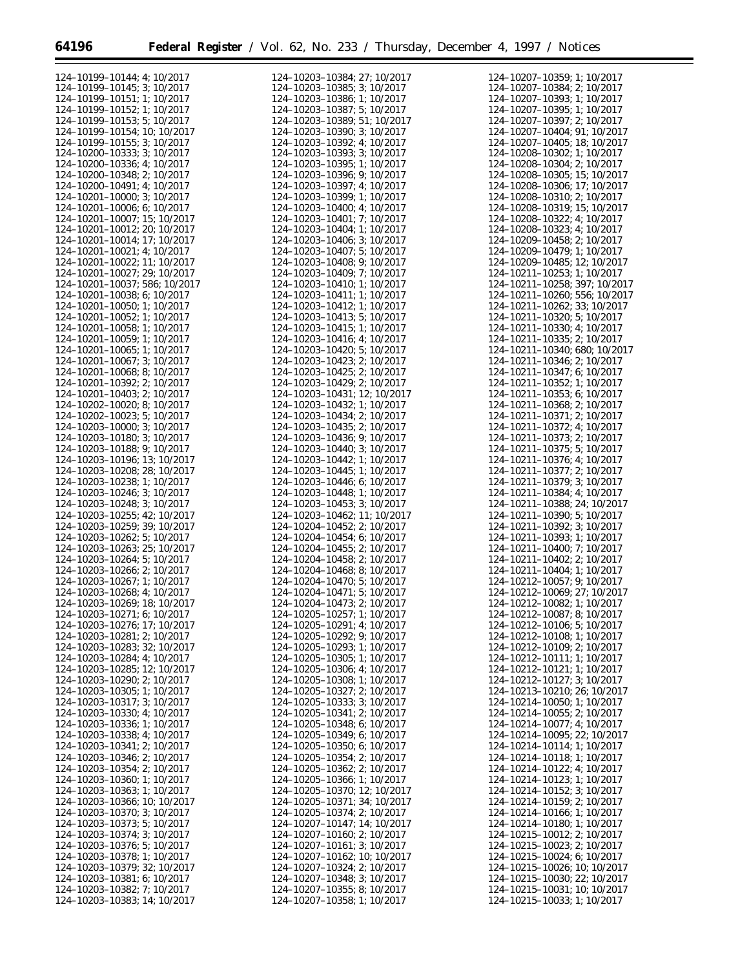| 124-10199-10144; 4; 10/2017          | 124-10203-10384; 27; 10/2017 | 124-10207-10359; 1; 10/2017          |
|--------------------------------------|------------------------------|--------------------------------------|
|                                      |                              |                                      |
| 124-10199-10145; 3; 10/2017          | 124-10203-10385: 3: 10/2017  | 124-10207-10384; 2; 10/2017          |
| 124-10199-10151; 1; 10/2017          | 124-10203-10386; 1; 10/2017  | 124-10207-10393; 1; 10/2017          |
| 124-10199-10152; 1; 10/2017          | 124-10203-10387; 5; 10/2017  | 124-10207-10395; 1; 10/2017          |
| 124-10199-10153; 5; 10/2017          | 124-10203-10389; 51; 10/2017 | 124-10207-10397; 2; 10/2017          |
|                                      |                              |                                      |
| 124-10199-10154; 10; 10/2017         | 124-10203-10390; 3; 10/2017  | 124-10207-10404; 91; 10/2017         |
| 124-10199-10155; 3; 10/2017          | 124-10203-10392; 4; 10/2017  | 124-10207-10405; 18; 10/2017         |
| 124-10200-10333; 3; 10/2017          | 124-10203-10393; 3; 10/2017  | 124-10208-10302; 1; 10/2017          |
|                                      |                              |                                      |
| 124-10200-10336; 4; 10/2017          | 124-10203-10395; 1; 10/2017  | 124-10208-10304; 2; 10/2017          |
| 124-10200-10348; 2; 10/2017          | 124-10203-10396; 9; 10/2017  | 124-10208-10305; 15; 10/2017         |
| 124-10200-10491; 4; 10/2017          | 124-10203-10397; 4; 10/2017  | 124-10208-10306; 17; 10/2017         |
|                                      |                              |                                      |
| $124 - 10201 - 10000$ ; 3; $10/2017$ | 124-10203-10399; 1; 10/2017  | 124-10208-10310; 2; 10/2017          |
| $124 - 10201 - 10006$ ; 6; 10/2017   | 124-10203-10400; 4; 10/2017  | 124-10208-10319; 15; 10/2017         |
| 124-10201-10007; 15; 10/2017         | 124-10203-10401; 7; 10/2017  | 124-10208-10322; 4; 10/2017          |
| 124-10201-10012; 20; 10/2017         |                              |                                      |
|                                      | 124-10203-10404; 1; 10/2017  | 124-10208-10323; 4; 10/2017          |
| 124-10201-10014; 17; 10/2017         | 124-10203-10406; 3; 10/2017  | 124-10209-10458; 2; 10/2017          |
| $124 - 10201 - 10021$ ; 4; 10/2017   | 124-10203-10407; 5; 10/2017  | 124-10209-10479; 1; 10/2017          |
| 124-10201-10022; 11; 10/2017         | 124-10203-10408; 9; 10/2017  | 124-10209-10485; 12; 10/2017         |
|                                      |                              |                                      |
| 124-10201-10027; 29; 10/2017         | 124-10203-10409; 7; 10/2017  | $124 - 10211 - 10253$ ; 1; 10/2017   |
| 124-10201-10037; 586; 10/2017        | 124-10203-10410; 1; 10/2017  | 124-10211-10258; 397; 10/2017        |
| 124-10201-10038; 6; 10/2017          | 124-10203-10411; 1; 10/2017  | 124-10211-10260; 556; 10/2017        |
|                                      |                              |                                      |
| $124 - 10201 - 10050$ ; 1; 10/2017   | 124-10203-10412; 1; 10/2017  | 124-10211-10262; 33; 10/2017         |
| 124-10201-10052; 1; 10/2017          | 124-10203-10413; 5; 10/2017  | $124 - 10211 - 10320$ ; 5; 10/2017   |
| 124-10201-10058; 1; 10/2017          | 124-10203-10415; 1; 10/2017  | 124-10211-10330; 4; 10/2017          |
| 124-10201-10059; 1; 10/2017          | 124-10203-10416; 4; 10/2017  | $124 - 10211 - 10335$ ; 2; 10/2017   |
|                                      |                              |                                      |
| $124 - 10201 - 10065$ ; 1; 10/2017   | 124-10203-10420; 5; 10/2017  | 124-10211-10340; 680; 10/2017        |
| 124-10201-10067; 3; 10/2017          | 124-10203-10423; 2; 10/2017  | $124 - 10211 - 10346$ ; 2; 10/2017   |
| $124 - 10201 - 10068$ ; 8; 10/2017   | 124-10203-10425; 2; 10/2017  | 124-10211-10347; 6; 10/2017          |
|                                      |                              |                                      |
| 124-10201-10392; 2; 10/2017          | 124-10203-10429; 2; 10/2017  | 124-10211-10352; 1; 10/2017          |
| $124 - 10201 - 10403$ ; 2; 10/2017   | 124-10203-10431; 12; 10/2017 | 124-10211-10353; 6; 10/2017          |
| $124 - 10202 - 10020$ ; 8; $10/2017$ | 124-10203-10432; 1; 10/2017  | 124-10211-10368; 2; 10/2017          |
|                                      |                              |                                      |
| 124-10202-10023; 5; 10/2017          | 124-10203-10434; 2; 10/2017  | 124-10211-10371; 2; 10/2017          |
| 124-10203-10000; 3; 10/2017          | 124-10203-10435; 2; 10/2017  | 124-10211-10372; 4; 10/2017          |
| 124-10203-10180; 3; 10/2017          | 124-10203-10436; 9; 10/2017  | $124 - 10211 - 10373$ ; 2; 10/2017   |
|                                      |                              |                                      |
| 124-10203-10188; 9; 10/2017          | 124-10203-10440; 3; 10/2017  | $124 - 10211 - 10375$ ; 5; 10/2017   |
| 124-10203-10196; 13; 10/2017         | 124-10203-10442; 1; 10/2017  | 124-10211-10376; 4; 10/2017          |
| 124-10203-10208; 28; 10/2017         | 124-10203-10445; 1; 10/2017  | 124-10211-10377; 2; 10/2017          |
|                                      |                              |                                      |
| 124-10203-10238; 1; 10/2017          | 124-10203-10446; 6; 10/2017  | 124-10211-10379; 3; 10/2017          |
| 124-10203-10246; 3; 10/2017          | 124-10203-10448; 1; 10/2017  | 124-10211-10384; 4; 10/2017          |
| 124-10203-10248; 3; 10/2017          | 124-10203-10453; 3; 10/2017  | 124-10211-10388; 24; 10/2017         |
|                                      |                              |                                      |
| 124-10203-10255; 42; 10/2017         | 124-10203-10462; 11; 10/2017 | $124 - 10211 - 10390$ ; 5; 10/2017   |
| 124-10203-10259; 39; 10/2017         | 124-10204-10452; 2; 10/2017  | 124-10211-10392; 3; 10/2017          |
| 124-10203-10262; 5; 10/2017          | 124-10204-10454; 6; 10/2017  | 124-10211-10393; 1; 10/2017          |
| 124-10203-10263; 25; 10/2017         | 124-10204-10455; 2; 10/2017  | $124 - 10211 - 10400$ ; 7; $10/2017$ |
|                                      |                              |                                      |
| 124-10203-10264; 5; 10/2017          | 124-10204-10458; 2; 10/2017  | $124 - 10211 - 10402$ ; 2; 10/2017   |
| 124-10203-10266; 2; 10/2017          | 124-10204-10468; 8; 10/2017  | 124-10211-10404; 1; 10/2017          |
| 124-10203-10267; 1; 10/2017          | 124-10204-10470; 5; 10/2017  | 124-10212-10057; 9; 10/2017          |
|                                      |                              |                                      |
| 124-10203-10268; 4; 10/2017          | 124-10204-10471; 5; 10/2017  | 124-10212-10069; 27; 10/2017         |
| 124-10203-10269; 18; 10/2017         | 124-10204-10473; 2; 10/2017  | 124-10212-10082; 1; 10/2017          |
| 124-10203-10271; 6; 10/2017          | 124-10205-10257; 1; 10/2017  | 124-10212-10087; 8; 10/2017          |
| 124-10203-10276; 17; 10/2017         | 124-10205-10291; 4; 10/2017  | 124-10212-10106; 5; 10/2017          |
|                                      |                              |                                      |
| 124-10203-10281; 2; 10/2017          | 124-10205-10292; 9; 10/2017  | 124-10212-10108; 1; 10/2017          |
| 124-10203-10283; 32; 10/2017         | 124-10205-10293; 1; 10/2017  | $124 - 10212 - 10109$ ; 2; 10/2017   |
| 124-10203-10284; 4; 10/2017          | 124-10205-10305; 1; 10/2017  | $124 - 10212 - 10111$ ; 1; 10/2017   |
|                                      |                              |                                      |
| 124-10203-10285; 12; 10/2017         | 124-10205-10306; 4; 10/2017  | $124 - 10212 - 10121$ ; 1; 10/2017   |
| 124-10203-10290; 2; 10/2017          | 124-10205-10308; 1; 10/2017  | 124-10212-10127; 3; 10/2017          |
| $124 - 10203 - 10305$ ; 1; 10/2017   | 124-10205-10327; 2; 10/2017  | 124-10213-10210; 26; 10/2017         |
| 124-10203-10317; 3; 10/2017          | 124-10205-10333; 3; 10/2017  | 124-10214-10050; 1; 10/2017          |
|                                      |                              |                                      |
| $124 - 10203 - 10330$ ; 4; 10/2017   | 124-10205-10341; 2; 10/2017  | $124 - 10214 - 10055$ ; 2; 10/2017   |
| 124-10203-10336; 1; 10/2017          | 124-10205-10348; 6; 10/2017  | 124-10214-10077; 4; 10/2017          |
| 124-10203-10338; 4; 10/2017          | 124-10205-10349; 6; 10/2017  | 124-10214-10095; 22; 10/2017         |
|                                      |                              |                                      |
| 124-10203-10341; 2; 10/2017          | 124-10205-10350; 6; 10/2017  | 124-10214-10114; 1; 10/2017          |
| 124-10203-10346; 2; 10/2017          | 124-10205-10354; 2; 10/2017  | 124-10214-10118; 1; 10/2017          |
| $124 - 10203 - 10354$ ; 2; 10/2017   | 124-10205-10362; 2; 10/2017  | $124 - 10214 - 10122$ ; 4; 10/2017   |
|                                      |                              |                                      |
| 124-10203-10360; 1; 10/2017          | 124-10205-10366; 1; 10/2017  | 124-10214-10123; 1; 10/2017          |
| 124-10203-10363; 1; 10/2017          | 124-10205-10370; 12; 10/2017 | 124-10214-10152; 3; 10/2017          |
| 124-10203-10366; 10; 10/2017         | 124-10205-10371; 34; 10/2017 | $124 - 10214 - 10159$ ; 2; 10/2017   |
| 124-10203-10370; 3; 10/2017          | 124-10205-10374; 2; 10/2017  | 124-10214-10166; 1; 10/2017          |
|                                      |                              |                                      |
| $124 - 10203 - 10373$ ; 5; 10/2017   | 124-10207-10147; 14; 10/2017 | 124-10214-10180; 1; 10/2017          |
| 124-10203-10374; 3; 10/2017          | 124-10207-10160; 2; 10/2017  | 124-10215-10012; 2; 10/2017          |
| 124-10203-10376; 5; 10/2017          | 124-10207-10161; 3; 10/2017  | $124 - 10215 - 10023$ ; 2; 10/2017   |
|                                      |                              |                                      |
| 124-10203-10378; 1; 10/2017          | 124-10207-10162; 10; 10/2017 | 124-10215-10024; 6; 10/2017          |
| 124-10203-10379; 32; 10/2017         | 124-10207-10324; 2; 10/2017  | 124-10215-10026; 10; 10/2017         |
| 124-10203-10381; 6; 10/2017          | 124-10207-10348; 3; 10/2017  | 124-10215-10030; 22; 10/2017         |
|                                      |                              |                                      |
| 124-10203-10382; 7; 10/2017          | 124-10207-10355; 8; 10/2017  | 124-10215-10031; 10; 10/2017         |
| 124-10203-10383; 14; 10/2017         | 124-10207-10358; 1; 10/2017  | 124-10215-10033; 1; 10/2017          |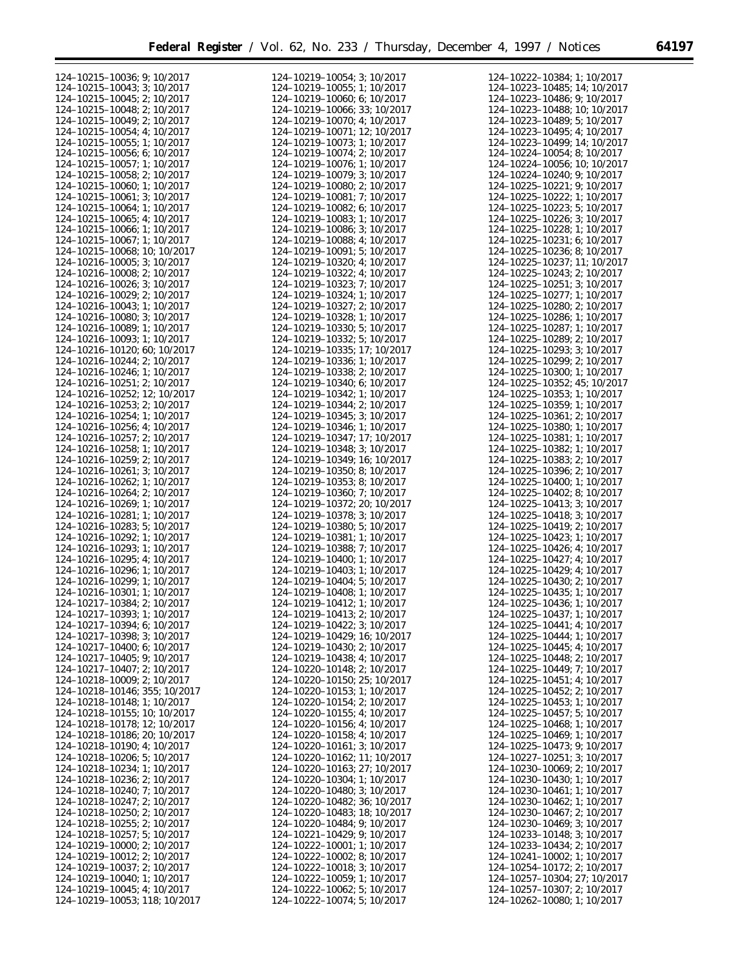| 124-10215-10036; 9; 10/2017          | 124-10219-10054; 3; 10/2017          | 124-10222-10384; 1; 10/2017          |
|--------------------------------------|--------------------------------------|--------------------------------------|
| 124-10215-10043; 3; 10/2017          | 124-10219-10055; 1; 10/2017          | 124-10223-10485; 14; 10/2017         |
| $124 - 10215 - 10045$ ; 2; 10/2017   | 124-10219-10060; 6; 10/2017          | 124-10223-10486; 9; 10/2017          |
| 124-10215-10048; 2; 10/2017          | 124-10219-10066; 33; 10/2017         | 124-10223-10488; 10; 10/2017         |
|                                      |                                      |                                      |
| 124-10215-10049; 2; 10/2017          | 124-10219-10070; 4; 10/2017          | 124-10223-10489; 5; 10/2017          |
| 124-10215-10054; 4; 10/2017          | 124-10219-10071; 12; 10/2017         | 124-10223-10495; 4; 10/2017          |
| 124-10215-10055; 1; 10/2017          | 124-10219-10073; 1; 10/2017          | 124-10223-10499; 14; 10/2017         |
| 124-10215-10056; 6; 10/2017          | 124-10219-10074; 2; 10/2017          | 124-10224-10054; 8; 10/2017          |
| 124-10215-10057; 1; 10/2017          | 124-10219-10076; 1; 10/2017          | 124-10224-10056; 10; 10/2017         |
| 124-10215-10058; 2; 10/2017          | 124-10219-10079; 3; 10/2017          | 124-10224-10240; 9; 10/2017          |
| 124-10215-10060; 1; 10/2017          | $124 - 10219 - 10080$ ; 2; $10/2017$ | 124-10225-10221; 9; 10/2017          |
| 124-10215-10061; 3; 10/2017          | 124-10219-10081; 7; 10/2017          | 124-10225-10222; 1; 10/2017          |
| 124-10215-10064; 1; 10/2017          | 124-10219-10082; 6; 10/2017          | 124-10225-10223; 5; 10/2017          |
| 124-10215-10065; 4; 10/2017          | 124-10219-10083; 1; 10/2017          | 124-10225-10226; 3; 10/2017          |
|                                      |                                      |                                      |
| 124-10215-10066; 1; 10/2017          | 124-10219-10086; 3; 10/2017          | 124-10225-10228; 1; 10/2017          |
| 124-10215-10067; 1; 10/2017          | 124-10219-10088; 4; 10/2017          | 124-10225-10231; 6; 10/2017          |
| 124-10215-10068; 10; 10/2017         | 124-10219-10091; 5; 10/2017          | 124-10225-10236; 8; 10/2017          |
| 124-10216-10005; 3; 10/2017          | 124-10219-10320; 4; 10/2017          | 124-10225-10237; 11; 10/2017         |
| $124 - 10216 - 10008$ ; 2; 10/2017   | 124-10219-10322; 4; 10/2017          | 124-10225-10243; 2; 10/2017          |
| 124-10216-10026; 3; 10/2017          | 124-10219-10323; 7; 10/2017          | 124-10225-10251; 3; 10/2017          |
| $124 - 10216 - 10029$ ; 2; 10/2017   | 124-10219-10324; 1; 10/2017          | 124-10225-10277; 1; 10/2017          |
| 124-10216-10043; 1; 10/2017          | 124-10219-10327; 2; 10/2017          | $124 - 10225 - 10280$ ; 2; $10/2017$ |
| 124-10216-10080; 3; 10/2017          | 124-10219-10328; 1; 10/2017          | 124-10225-10286; 1; 10/2017          |
|                                      |                                      |                                      |
| 124-10216-10089; 1; 10/2017          | 124-10219-10330; 5; 10/2017          | 124-10225-10287; 1; 10/2017          |
| 124-10216-10093; 1; 10/2017          | 124-10219-10332; 5; 10/2017          | 124-10225-10289; 2; 10/2017          |
| 124-10216-10120; 60; 10/2017         | 124-10219-10335; 17; 10/2017         | 124-10225-10293; 3; 10/2017          |
| 124-10216-10244; 2; 10/2017          | 124-10219-10336; 1; 10/2017          | 124-10225-10299; 2; 10/2017          |
| 124-10216-10246; 1; 10/2017          | 124-10219-10338; 2; 10/2017          | 124-10225-10300; 1; 10/2017          |
| 124-10216-10251; 2; 10/2017          | 124-10219-10340; 6; 10/2017          | 124-10225-10352; 45; 10/2017         |
| 124-10216-10252; 12; 10/2017         | 124-10219-10342; 1; 10/2017          | 124-10225-10353; 1; 10/2017          |
| 124-10216-10253; 2; 10/2017          | 124-10219-10344; 2; 10/2017          | 124-10225-10359; 1; 10/2017          |
| 124-10216-10254; 1; 10/2017          | 124-10219-10345; 3; 10/2017          | 124-10225-10361; 2; 10/2017          |
|                                      |                                      |                                      |
| 124-10216-10256; 4; 10/2017          | 124-10219-10346; 1; 10/2017          | 124-10225-10380; 1; 10/2017          |
| 124-10216-10257; 2; 10/2017          | 124-10219-10347; 17; 10/2017         | 124-10225-10381; 1; 10/2017          |
| 124-10216-10258; 1; 10/2017          | 124-10219-10348; 3; 10/2017          | 124-10225-10382; 1; 10/2017          |
| 124-10216-10259; 2; 10/2017          | 124-10219-10349; 16; 10/2017         | 124-10225-10383; 2; 10/2017          |
| 124-10216-10261; 3; 10/2017          | 124-10219-10350; 8; 10/2017          | 124-10225-10396; 2; 10/2017          |
| 124-10216-10262; 1; 10/2017          | 124-10219-10353; 8; 10/2017          | 124-10225-10400; 1; 10/2017          |
| 124-10216-10264; 2; 10/2017          | 124-10219-10360; 7; 10/2017          | $124 - 10225 - 10402$ ; 8; $10/2017$ |
| 124-10216-10269; 1; 10/2017          | 124-10219-10372; 20; 10/2017         | 124-10225-10413; 3; 10/2017          |
| 124-10216-10281; 1; 10/2017          | 124-10219-10378; 3; 10/2017          | 124-10225-10418; 3; 10/2017          |
|                                      |                                      |                                      |
| 124-10216-10283; 5; 10/2017          | 124-10219-10380; 5; 10/2017          | $124 - 10225 - 10419$ ; 2; $10/2017$ |
| 124-10216-10292; 1; 10/2017          | 124-10219-10381; 1; 10/2017          | 124-10225-10423; 1; 10/2017          |
| 124-10216-10293; 1; 10/2017          | 124-10219-10388; 7; 10/2017          | 124-10225-10426; 4; 10/2017          |
| 124-10216-10295; 4; 10/2017          | 124-10219-10400; 1; 10/2017          | 124-10225-10427; 4; 10/2017          |
| 124-10216-10296; 1; 10/2017          | 124-10219-10403; 1; 10/2017          | 124-10225-10429; 4; 10/2017          |
| 124-10216-10299; 1; 10/2017          | 124-10219-10404; 5; 10/2017          | 124-10225-10430; 2; 10/2017          |
| 124-10216-10301; 1; 10/2017          | 124-10219-10408; 1; 10/2017          | 124-10225-10435; 1; 10/2017          |
| 124-10217-10384; 2; 10/2017          | 124-10219-10412; 1; 10/2017          | 124-10225-10436; 1; 10/2017          |
| 124-10217-10393; 1; 10/2017          | 124-10219-10413; 2; 10/2017          | 124-10225-10437; 1; 10/2017          |
|                                      |                                      |                                      |
| 124-10217-10394; 6; 10/2017          | 124-10219-10422; 3; 10/2017          | $124 - 10225 - 10441$ ; 4; 10/2017   |
| 124-10217-10398; 3; 10/2017          | 124-10219-10429; 16; 10/2017         | $124 - 10225 - 10444$ ; 1; 10/2017   |
| 124-10217-10400; 6; 10/2017          | $124 - 10219 - 10430$ ; 2; $10/2017$ | $124 - 10225 - 10445$ ; 4; 10/2017   |
| 124-10217-10405; 9; 10/2017          | 124-10219-10438; 4; 10/2017          | $124 - 10225 - 10448$ ; 2; 10/2017   |
| 124-10217-10407; 2; 10/2017          | 124-10220-10148; 2; 10/2017          | $124 - 10225 - 10449$ ; 7; 10/2017   |
| 124-10218-10009; 2; 10/2017          | 124-10220-10150; 25; 10/2017         | $124 - 10225 - 10451$ ; 4; 10/2017   |
| 124-10218-10146; 355; 10/2017        | 124-10220-10153; 1; 10/2017          | $124 - 10225 - 10452$ ; 2; 10/2017   |
| 124-10218-10148; 1; 10/2017          | 124-10220-10154; 2; 10/2017          | 124-10225-10453; 1; 10/2017          |
| 124-10218-10155; 10; 10/2017         | $124 - 10220 - 10155$ ; 4; 10/2017   | $124 - 10225 - 10457$ ; 5; 10/2017   |
| 124-10218-10178; 12; 10/2017         | $124 - 10220 - 10156$ ; 4; 10/2017   | 124-10225-10468; 1; 10/2017          |
|                                      |                                      |                                      |
| 124-10218-10186; 20; 10/2017         | 124-10220-10158; 4; 10/2017          | 124-10225-10469; 1; 10/2017          |
| 124-10218-10190; 4; 10/2017          | 124-10220-10161; 3; 10/2017          | 124-10225-10473; 9; 10/2017          |
| 124-10218-10206; 5; 10/2017          | 124-10220-10162; 11; 10/2017         | $124 - 10227 - 10251$ ; 3; 10/2017   |
| 124-10218-10234; 1; 10/2017          | 124-10220-10163; 27; 10/2017         | 124-10230-10069; 2: 10/2017          |
| 124-10218-10236; 2; 10/2017          | 124-10220-10304; 1; 10/2017          | 124-10230-10430; 1; 10/2017          |
| 124-10218-10240; 7; 10/2017          | 124-10220-10480; 3; 10/2017          | 124-10230-10461; 1; 10/2017          |
| 124-10218-10247; 2; 10/2017          | 124-10220-10482; 36; 10/2017         | $124 - 10230 - 10462$ ; 1; 10/2017   |
| 124-10218-10250; 2; 10/2017          | 124-10220-10483; 18; 10/2017         | $124 - 10230 - 10467$ ; 2; 10/2017   |
|                                      |                                      |                                      |
| 124-10218-10255; 2; 10/2017          | 124-10220-10484; 9; 10/2017          | $124 - 10230 - 10469$ ; 3; $10/2017$ |
| 124-10218-10257; 5; 10/2017          | $124 - 10221 - 10429$ ; 9; 10/2017   | $124 - 10233 - 10148$ ; 3; 10/2017   |
| $124 - 10219 - 10000$ ; 2; $10/2017$ | $124 - 10222 - 10001$ ; 1; 10/2017   | $124 - 10233 - 10434$ ; 2; $10/2017$ |
| 124-10219-10012; 2; 10/2017          | $124 - 10222 - 10002$ ; 8; 10/2017   | $124 - 10241 - 10002$ ; 1; 10/2017   |
| 124-10219-10037; 2; 10/2017          | $124 - 10222 - 10018$ ; 3; 10/2017   | 124-10254-10172; 2; 10/2017          |
| 124-10219-10040; 1; 10/2017          | 124-10222-10059; 1; 10/2017          | 124-10257-10304; 27; 10/2017         |
| 124-10219-10045; 4; 10/2017          | $124 - 10222 - 10062$ ; 5; $10/2017$ | $124 - 10257 - 10307$ ; 2; 10/2017   |
| 124-10219-10053; 118; 10/2017        | 124-10222-10074; 5; 10/2017          | 124-10262-10080; 1; 10/2017          |
|                                      |                                      |                                      |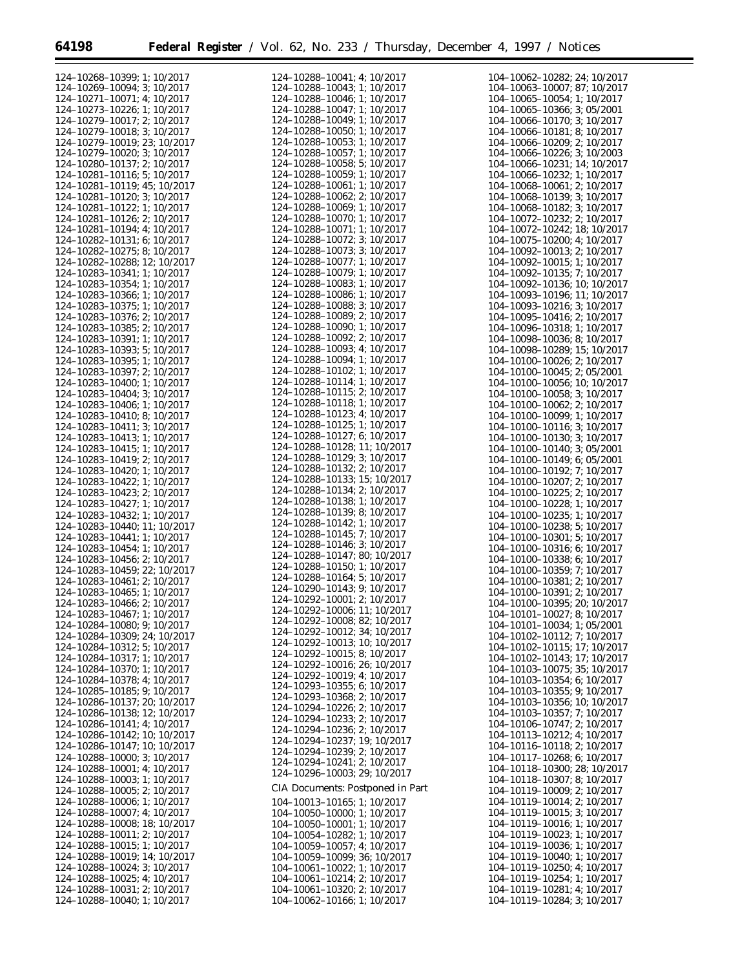| 124-10268-10399; 1; 10/2017                                | 124-10288-10041; 4; 10/2017                                | 104-10062-10282; 24; 10/2017                               |
|------------------------------------------------------------|------------------------------------------------------------|------------------------------------------------------------|
| 124-10269-10094; 3; 10/2017                                | 124-10288-10043; 1; 10/2017                                | 104-10063-10007; 87; 10/2017                               |
| 124-10271-10071; 4; 10/2017                                | 124-10288-10046; 1; 10/2017                                | $104-10065-10054$ ; 1; $10/2017$                           |
|                                                            |                                                            |                                                            |
| 124-10273-10226; 1; 10/2017                                | 124-10288-10047; 1; 10/2017                                | 104-10065-10366; 3; 05/2001                                |
| 124-10279-10017; 2; 10/2017                                | 124-10288-10049; 1; 10/2017                                | 104-10066-10170; 3; 10/2017                                |
| 124-10279-10018; 3; 10/2017                                | $124 - 10288 - 10050$ ; 1; 10/2017                         | 104-10066-10181; 8; 10/2017                                |
| 124-10279-10019; 23; 10/2017                               | 124-10288-10053; 1; 10/2017                                | 104-10066-10209; 2; 10/2017                                |
|                                                            |                                                            |                                                            |
| 124-10279-10020; 3; 10/2017                                | 124-10288-10057; 1; 10/2017                                | 104-10066-10226; 3; 10/2003                                |
| 124-10280-10137; 2; 10/2017                                | 124-10288-10058; 5; 10/2017                                | 104-10066-10231; 14; 10/2017                               |
| 124-10281-10116; 5; 10/2017                                | 124-10288-10059; 1; 10/2017                                | 104-10066-10232; 1; 10/2017                                |
|                                                            |                                                            |                                                            |
| 124-10281-10119; 45; 10/2017                               | 124-10288-10061; 1; 10/2017                                | $104-10068-10061$ ; 2; $10/2017$                           |
| 124-10281-10120; 3; 10/2017                                | $124 - 10288 - 10062$ ; 2; $10/2017$                       | 104-10068-10139; 3; 10/2017                                |
| 124-10281-10122; 1; 10/2017                                | 124-10288-10069; 1; 10/2017                                | 104-10068-10182; 3; 10/2017                                |
|                                                            |                                                            |                                                            |
| 124-10281-10126; 2; 10/2017                                | 124-10288-10070; 1; 10/2017                                | 104-10072-10232; 2; 10/2017                                |
| $124 - 10281 - 10194$ ; 4; 10/2017                         | 124-10288-10071; 1; 10/2017                                | 104-10072-10242; 18; 10/2017                               |
| 124-10282-10131; 6; 10/2017                                | 124-10288-10072; 3; 10/2017                                | $104-10075-10200$ ; 4; $10/2017$                           |
|                                                            |                                                            |                                                            |
| 124-10282-10275; 8; 10/2017                                | 124-10288-10073; 3; 10/2017                                | 104-10092-10013; 2; 10/2017                                |
| 124-10282-10288; 12; 10/2017                               | 124-10288-10077; 1; 10/2017                                | $104 - 10092 - 10015$ ; 1; 10/2017                         |
| 124-10283-10341; 1; 10/2017                                | 124-10288-10079; 1; 10/2017                                | 104-10092-10135; 7; 10/2017                                |
|                                                            |                                                            |                                                            |
| 124-10283-10354; 1; 10/2017                                | 124-10288-10083; 1; 10/2017                                | 104-10092-10136; 10; 10/2017                               |
| 124-10283-10366; 1; 10/2017                                | 124-10288-10086; 1; 10/2017                                | 104-10093-10196; 11; 10/2017                               |
| 124-10283-10375; 1; 10/2017                                | 124-10288-10088; 3; 10/2017                                | 104-10093-10216; 3; 10/2017                                |
|                                                            |                                                            |                                                            |
| 124-10283-10376; 2; 10/2017                                | 124-10288-10089; 2; 10/2017                                | $104-10095-10416$ ; 2; $10/2017$                           |
| 124-10283-10385; 2; 10/2017                                | 124-10288-10090; 1; 10/2017                                | 104-10096-10318; 1; 10/2017                                |
| 124-10283-10391; 1; 10/2017                                | $124 - 10288 - 10092$ ; 2; 10/2017                         | 104-10098-10036; 8; 10/2017                                |
|                                                            | 124-10288-10093; 4; 10/2017                                |                                                            |
| 124-10283-10393; 5; 10/2017                                |                                                            | 104-10098-10289; 15; 10/2017                               |
| 124-10283-10395; 1; 10/2017                                | 124-10288-10094; 1; 10/2017                                | 104-10100-10026; 2; 10/2017                                |
| 124-10283-10397; 2; 10/2017                                | 124-10288-10102; 1; 10/2017                                | $104-10100-10045$ ; 2; 05/2001                             |
|                                                            | 124-10288-10114; 1; 10/2017                                |                                                            |
| 124-10283-10400; 1; 10/2017                                |                                                            | 104-10100-10056; 10; 10/2017                               |
| 124-10283-10404; 3; 10/2017                                | 124-10288-10115; 2; 10/2017                                | 104-10100-10058; 3; 10/2017                                |
| 124-10283-10406; 1; 10/2017                                | 124-10288-10118; 1; 10/2017                                | 104-10100-10062; 2; 10/2017                                |
|                                                            | 124-10288-10123; 4; 10/2017                                |                                                            |
| 124-10283-10410; 8; 10/2017                                |                                                            | 104-10100-10099; 1; 10/2017                                |
| 124-10283-10411; 3; 10/2017                                | 124-10288-10125; 1; 10/2017                                | 104-10100-10116; 3; 10/2017                                |
| 124-10283-10413; 1; 10/2017                                | 124-10288-10127; 6; 10/2017                                | 104-10100-10130; 3; 10/2017                                |
|                                                            | 124-10288-10128; 11; 10/2017                               |                                                            |
| 124-10283-10415; 1; 10/2017                                |                                                            | 104-10100-10140; 3; 05/2001                                |
| 124-10283-10419; 2; 10/2017                                | 124-10288-10129; 3; 10/2017                                | 104-10100-10149; 6; 05/2001                                |
| 124-10283-10420; 1; 10/2017                                | 124-10288-10132; 2; 10/2017                                | 104-10100-10192; 7; 10/2017                                |
|                                                            | 124-10288-10133; 15; 10/2017                               |                                                            |
| 124-10283-10422; 1; 10/2017                                |                                                            | 104-10100-10207; 2; 10/2017                                |
| 124-10283-10423; 2; 10/2017                                | 124-10288-10134; 2; 10/2017                                | 104-10100-10225; 2; 10/2017                                |
| 124-10283-10427; 1; 10/2017                                | 124-10288-10138; 1; 10/2017                                | 104-10100-10228; 1; 10/2017                                |
|                                                            | 124-10288-10139; 8; 10/2017                                |                                                            |
| 124-10283-10432; 1; 10/2017                                |                                                            | 104-10100-10235; 1; 10/2017                                |
| 124-10283-10440; 11; 10/2017                               | 124-10288-10142; 1; 10/2017                                | 104-10100-10238; 5; 10/2017                                |
| 124-10283-10441; 1; 10/2017                                | 124-10288-10145; 7; 10/2017                                | 104-10100-10301; 5; 10/2017                                |
|                                                            | 124-10288-10146; 3; 10/2017                                |                                                            |
| 124-10283-10454; 1; 10/2017                                | 124-10288-10147; 80; 10/2017                               | 104-10100-10316; 6; 10/2017                                |
| 124-10283-10456; 2; 10/2017                                |                                                            | 104-10100-10338; 6; 10/2017                                |
| 124-10283-10459; 22; 10/2017                               | 124-10288-10150; 1; 10/2017                                | 104-10100-10359; 7; 10/2017                                |
|                                                            | 124-10288-10164; 5; 10/2017                                |                                                            |
| 124-10283-10461; 2; 10/2017                                | 124-10290-10143; 9; 10/2017                                | 104-10100-10381; 2; 10/2017                                |
| 124-10283-10465; 1; 10/2017                                |                                                            | 104-10100-10391; 2; 10/2017                                |
| 124-10283-10466; 2; 10/2017                                | 124-10292-10001; 2; 10/2017                                | 104-10100-10395; 20; 10/2017                               |
|                                                            | 124-10292-10006; 11; 10/2017                               |                                                            |
| 124-10283-10467; 1; 10/2017                                | 124-10292-10008; 82; 10/2017                               | $104 - 10101 - 10027$ ; 8; $10/2017$                       |
| 124-10284-10080; 9; 10/2017                                |                                                            | 104-10101-10034; 1; 05/2001                                |
| 124-10284-10309; 24; 10/2017                               | 124-10292-10012; 34; 10/2017                               | 104-10102-10112; 7; 10/2017                                |
| 124-10284-10312; 5; 10/2017                                | 124-10292-10013; 10; 10/2017                               | 104-10102-10115; 17; 10/2017                               |
|                                                            | 124-10292-10015; 8; 10/2017                                |                                                            |
| 124-10284-10317; 1; 10/2017                                |                                                            | 104-10102-10143; 17; 10/2017                               |
| 124-10284-10370; 1; 10/2017                                | 124-10292-10016; 26; 10/2017                               | 104-10103-10075; 35; 10/2017                               |
| 124-10284-10378; 4; 10/2017                                | 124-10292-10019; 4; 10/2017                                | $104 - 10103 - 10354$ ; 6; 10/2017                         |
|                                                            | 124-10293-10355; 6; 10/2017                                |                                                            |
| 124-10285-10185; 9; 10/2017                                | 124-10293-10368; 2; 10/2017                                | $104 - 10103 - 10355$ ; 9; 10/2017                         |
| 124-10286-10137; 20; 10/2017                               |                                                            | 104-10103-10356; 10; 10/2017                               |
| 124-10286-10138; 12; 10/2017                               | 124-10294-10226; 2; 10/2017                                | 104-10103-10357; 7; 10/2017                                |
|                                                            | 124-10294-10233; 2; 10/2017                                |                                                            |
| 124-10286-10141; 4; 10/2017                                | 124-10294-10236; 2; 10/2017                                | 104-10106-10747; 2; 10/2017                                |
| 124-10286-10142; 10; 10/2017                               |                                                            | 104-10113-10212; 4; 10/2017                                |
| 124-10286-10147; 10; 10/2017                               | 124-10294-10237; 19; 10/2017                               | 104-10116-10118; 2; 10/2017                                |
|                                                            | 124-10294-10239; 2; 10/2017                                |                                                            |
| 124-10288-10000; 3; 10/2017                                | 124-10294-10241; 2; 10/2017                                | 104-10117-10268; 6; 10/2017                                |
| 124-10288-10001; 4; 10/2017                                |                                                            | 104-10118-10300; 28; 10/2017                               |
| 124-10288-10003; 1; 10/2017                                | 124-10296-10003; 29; 10/2017                               | 104-10118-10307; 8; 10/2017                                |
|                                                            | CIA Documents: Postponed in Part                           |                                                            |
| $124 - 10288 - 10005$ ; 2; $10/2017$                       |                                                            | $104 - 10119 - 10009$ ; 2; $10/2017$                       |
| 124-10288-10006; 1; 10/2017                                | 104-10013-10165; 1; 10/2017                                | 104-10119-10014; 2; 10/2017                                |
| 124-10288-10007; 4; 10/2017                                | $104-10050-10000$ ; 1; $10/2017$                           | 104-10119-10015; 3; 10/2017                                |
|                                                            |                                                            |                                                            |
| 124-10288-10008; 18; 10/2017                               | 104-10050-10001; 1; 10/2017                                | 104-10119-10016; 1; 10/2017                                |
| 124-10288-10011; 2; 10/2017                                | 104-10054-10282; 1; 10/2017                                | 104-10119-10023; 1; 10/2017                                |
| 124-10288-10015; 1; 10/2017                                | $104 - 10059 - 10057$ ; 4; 10/2017                         | 104-10119-10036; 1; 10/2017                                |
|                                                            |                                                            |                                                            |
| 124-10288-10019; 14; 10/2017                               | 104-10059-10099; 36; 10/2017                               | 104-10119-10040; 1; 10/2017                                |
| 124-10288-10024; 3; 10/2017                                | $104-10061-10022$ ; 1; $10/2017$                           | $104 - 10119 - 10250$ ; 4; $10/2017$                       |
| 124-10288-10025; 4; 10/2017                                |                                                            |                                                            |
|                                                            |                                                            |                                                            |
|                                                            | $104-10061-10214$ ; 2; $10/2017$                           | 104-10119-10254; 1; 10/2017                                |
| 124-10288-10031; 2; 10/2017<br>124-10288-10040; 1; 10/2017 | 104-10061-10320; 2; 10/2017<br>104-10062-10166; 1; 10/2017 | 104-10119-10281; 4; 10/2017<br>104-10119-10284; 3; 10/2017 |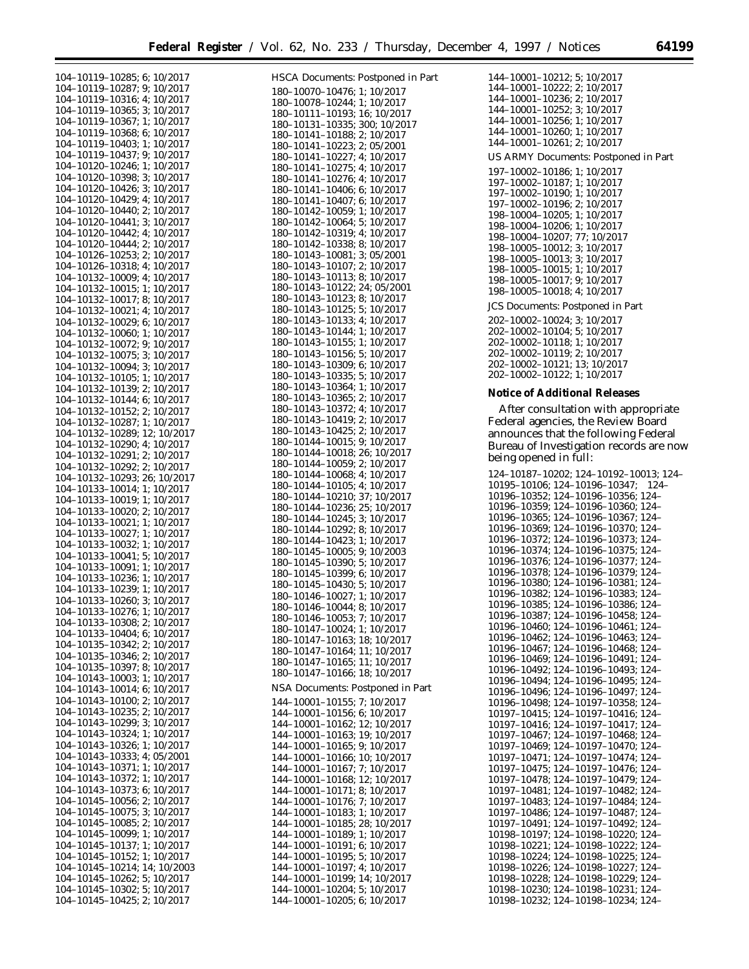HSCA Documents: Postponed in Part

e<br>B

|  | 104–10119–10285; 6;                                                                                                                                                                                                                       |    | 10/2017            |  |
|--|-------------------------------------------------------------------------------------------------------------------------------------------------------------------------------------------------------------------------------------------|----|--------------------|--|
|  | 104-10119-10287;                                                                                                                                                                                                                          | 9; | 10/2017            |  |
|  |                                                                                                                                                                                                                                           |    |                    |  |
|  |                                                                                                                                                                                                                                           | 4: | 10/2017            |  |
|  | $104-10119-10316;$<br>$104-10119-10365;$<br>$104-10119-10367;$<br>$104-10119-10368;$                                                                                                                                                      | 3: | 10/2017            |  |
|  |                                                                                                                                                                                                                                           | 1; | 10/2017            |  |
|  |                                                                                                                                                                                                                                           | 6; | 10/2017            |  |
|  | 104-10119-10403;                                                                                                                                                                                                                          | 1: | 10/2017            |  |
|  | 104-10119-10437;                                                                                                                                                                                                                          | 9: | 10/2017            |  |
|  | 104-10120-10246;                                                                                                                                                                                                                          | 1; | 10/2017            |  |
|  | 104-10120-10398;                                                                                                                                                                                                                          | 3; | 10/2017            |  |
|  | 104-10120-10426;                                                                                                                                                                                                                          | 3: | 10/2017            |  |
|  | 104-10120-10429; 4;                                                                                                                                                                                                                       |    |                    |  |
|  |                                                                                                                                                                                                                                           |    | 10/2017            |  |
|  | 104-10120-10440; 2;                                                                                                                                                                                                                       |    | 10/2017            |  |
|  | 104-10120-10441; 3;                                                                                                                                                                                                                       |    | 10/2017            |  |
|  | 104-10120-10442; 4;                                                                                                                                                                                                                       |    | 10/2017            |  |
|  | $104 - 10120 - 10444$ ; 2;                                                                                                                                                                                                                |    | 10/2017            |  |
|  | $104-10126-10253; 2;$<br>$104-10126-10318; 4;$                                                                                                                                                                                            |    | 10/2017            |  |
|  |                                                                                                                                                                                                                                           |    | 10/2017            |  |
|  |                                                                                                                                                                                                                                           |    | 10/2017            |  |
|  | $104-10132-10009; 4;$<br>$104-10132-10015; 1;$                                                                                                                                                                                            |    |                    |  |
|  | $104 - 10132 - 10017$ ; 8;                                                                                                                                                                                                                |    | 10/2017            |  |
|  |                                                                                                                                                                                                                                           |    | 10/2017            |  |
|  | $104 - 10132 - 10021$ ; 4;                                                                                                                                                                                                                |    | 10/2017            |  |
|  | 104-10132-10029;                                                                                                                                                                                                                          | 6; | 10/2017            |  |
|  | 104-10132-10060;                                                                                                                                                                                                                          | 1; | 10/2017            |  |
|  | $104 - 10132 - 10072$ ;                                                                                                                                                                                                                   | 9; | 10/2017            |  |
|  | 104-10132-10075;                                                                                                                                                                                                                          | 3; | 10/2017            |  |
|  | 104-10132-10094;                                                                                                                                                                                                                          | 3; | 10/2017            |  |
|  |                                                                                                                                                                                                                                           |    |                    |  |
|  | 104-10132-10105;                                                                                                                                                                                                                          | 1; | 10/2017            |  |
|  | 104-10132-10139;                                                                                                                                                                                                                          | 2; | 10/2017            |  |
|  | 104-10132-10144;                                                                                                                                                                                                                          | 6; | 10/2017            |  |
|  | 104-10132-10152;                                                                                                                                                                                                                          | 2; | 10/2017            |  |
|  | $104-1013z-1013z$ , z,<br>$2104-1013z-10287; 1;$<br>$104-1013z-10289; 12;$<br>$104-1013z-10290; 4;$<br>$2104-1013z-10292; 2;$<br>$2104-1013z-10293; 204-1013z-10293; 205-10293; 205-10293; 206-10293; 207-10293; 208-10293; 207-10293; 2$ |    | 10/2017            |  |
|  |                                                                                                                                                                                                                                           |    | 12; 10/2017        |  |
|  |                                                                                                                                                                                                                                           |    | 10/2017            |  |
|  |                                                                                                                                                                                                                                           |    |                    |  |
|  |                                                                                                                                                                                                                                           |    | 10/2017            |  |
|  |                                                                                                                                                                                                                                           |    | 10/2017            |  |
|  |                                                                                                                                                                                                                                           |    | 26; 10/2017        |  |
|  | 104-10133-10014;                                                                                                                                                                                                                          | 1; | 10/2017            |  |
|  | 104-10133-10019;                                                                                                                                                                                                                          | 1; | 10/2017            |  |
|  | 104-10133-10020;                                                                                                                                                                                                                          | 2; | 10/2017            |  |
|  |                                                                                                                                                                                                                                           |    |                    |  |
|  |                                                                                                                                                                                                                                           |    |                    |  |
|  | 104-10133-10021;                                                                                                                                                                                                                          | 1; | 10/2017            |  |
|  | 104-10133-10027;                                                                                                                                                                                                                          | 1; | 10/2017            |  |
|  | 104-10133-10032;                                                                                                                                                                                                                          | 1; | 10/2017            |  |
|  | 104-10133-10041;                                                                                                                                                                                                                          | 5; | 10/2017            |  |
|  | $104 - 10133 - 10091;$                                                                                                                                                                                                                    | 1; | 10/2017            |  |
|  |                                                                                                                                                                                                                                           |    | 10/2017            |  |
|  |                                                                                                                                                                                                                                           | 1; |                    |  |
|  | $104 - 10133 - 10236;$<br>104-10133-10239;                                                                                                                                                                                                | 1; | 10/2017            |  |
|  |                                                                                                                                                                                                                                           |    | 10/2017            |  |
|  | $104-10133-10260; 3;$<br>$104-10133-10276; 1;$                                                                                                                                                                                            |    | 10/2017            |  |
|  |                                                                                                                                                                                                                                           | 2: | 10/2017            |  |
|  | $104 - 10133 - 10308;$<br>104-10133-10404;                                                                                                                                                                                                | 6; | 10/2017            |  |
|  | $104 - 10135 - 10342$ ;                                                                                                                                                                                                                   | 2; | 10/2017            |  |
|  | 104-10135-10346;                                                                                                                                                                                                                          | 2; | 10/2017            |  |
|  | 104-10135-10397;                                                                                                                                                                                                                          | 8; | 10/2017            |  |
|  |                                                                                                                                                                                                                                           | 1; | 10/2017            |  |
|  | 104-10143-10003;                                                                                                                                                                                                                          | 6: | 10/2017            |  |
|  | $104 - 10143 - 10014$ ;                                                                                                                                                                                                                   |    |                    |  |
|  | 104-10143-10100;                                                                                                                                                                                                                          | 2; | 10/2017            |  |
|  | 104-10143-10235;                                                                                                                                                                                                                          | 2: | 10/2017            |  |
|  | 104-10143-10299;                                                                                                                                                                                                                          | 3; | 10/2017            |  |
|  | 104-10143-10324;                                                                                                                                                                                                                          | 1; | 10/2017            |  |
|  | 104-10143-10326;                                                                                                                                                                                                                          | 1; | 10/2017            |  |
|  | 104-10143-10333;                                                                                                                                                                                                                          | 4; | 05/2001            |  |
|  |                                                                                                                                                                                                                                           | 1; | 10/2017            |  |
|  |                                                                                                                                                                                                                                           |    |                    |  |
|  | $104 - 10143 - 10371;$<br>$104 - 10143 - 10372;$                                                                                                                                                                                          | 1; | 10/2017            |  |
|  |                                                                                                                                                                                                                                           | 6; | 10/2017            |  |
|  | $104 - 10143 - 10373$ ;<br>104-10145-10056;                                                                                                                                                                                               | 2; | 10/2017            |  |
|  | 104-10145-10075;                                                                                                                                                                                                                          | 3; | 10/2017            |  |
|  | 104-10145-10085;                                                                                                                                                                                                                          | 2; | 10/2017            |  |
|  | 104-10145-10099;                                                                                                                                                                                                                          | 1; | 10/2017            |  |
|  | 104-10145-10137;                                                                                                                                                                                                                          | 1; | 10/2017            |  |
|  | 104-10145-10152;                                                                                                                                                                                                                          | 1; | 10/2017            |  |
|  |                                                                                                                                                                                                                                           |    |                    |  |
|  | 104-10145-10214;                                                                                                                                                                                                                          |    | 14; 10/2003        |  |
|  | 104-10145-10262;                                                                                                                                                                                                                          | 5; | 10/2017            |  |
|  | 104-10145-10302;<br>104-10145-10425; 2;                                                                                                                                                                                                   | 5; | 10/2017<br>10/2017 |  |

|                                      | 180–10070–10476; 1; 10/2017                                                               |
|--------------------------------------|-------------------------------------------------------------------------------------------|
|                                      | 180-10078-10244; 1; 10/2017<br>180-10111-10193; 16; 10/2017                               |
|                                      | $180 - 10131 - 10335$ ; 300; 10/2017                                                      |
|                                      |                                                                                           |
|                                      | 180–10141–10188; 2; 10/2017<br>180–10141–10223; 2; 05/2001<br>180–10141–10227; 4; 10/2017 |
|                                      |                                                                                           |
|                                      | $180-10141-10275$ ; 4; 10/2017<br>180–10141–10276; 4; 10/2017                             |
| $180 - 10141 - 10406;$               | 6;<br>10/2017                                                                             |
|                                      | 180-10141-10407; 6; 10/2017                                                               |
|                                      | $180 - 10142 - 10059$ ; 1; 10/2017                                                        |
|                                      | 180-10142-10064; 5;<br>10/2017<br>180-10142-10319; 4; 10/2017                             |
|                                      | 180-10142-10338; 8; 10/2017                                                               |
|                                      | $180 - 10143 - 10081$ ; 3; 05/2001                                                        |
|                                      | 180-10143-10107; 2;<br>10/2017                                                            |
|                                      | 180-10143-10113; 8;<br>10/2017                                                            |
|                                      | 180-10143-10122; 24; 05/2001                                                              |
|                                      | 180-10143-10123; 8; 10/2017<br>180-10143-10125; 5;<br>10/2017                             |
|                                      | 180-10143-10133; 4;<br>10/2017                                                            |
|                                      | 180-10143-10144; 1; 10/2017                                                               |
|                                      | 180-10143-10155; 1;<br>10/2017                                                            |
|                                      | 180-10143-10156; 5;<br>10/2017                                                            |
|                                      | 180-10143-10309: 6:<br>10/2017                                                            |
|                                      | 180-10143-10335; 5; 10/2017                                                               |
|                                      | 180-10143-10364; 1; 10/2017<br>180-10143-10365; 2; 10/2017                                |
|                                      | 180-10143-10372; 4;<br>10/2017                                                            |
|                                      | 180-10143-10419; 2; 10/2017                                                               |
|                                      | 180-10143-10425; 2;<br>10/2017                                                            |
|                                      | 180-10144-10015; 9;<br>10/2017<br>180-10144-10018; 26; 10/2017                            |
|                                      | 180-10144-10059; 2; 10/2017                                                               |
|                                      | 180-10144-10068; 4;<br>10/2017                                                            |
|                                      | 180–10144–10105; 4;<br>10/2017                                                            |
|                                      | 180-10144-10210; 37; 10/2017                                                              |
|                                      | 180-10144-10236; 25; 10/2017                                                              |
|                                      | 180-10144-10245; 3; 10/2017<br>180-10144-10292; 8;<br>10/2017                             |
|                                      | 180-10144-10423; 1;<br>10/2017                                                            |
|                                      | 180-10145-10005; 9;<br>10/2003                                                            |
|                                      | 180-10145-10390; 5;<br>10/2017                                                            |
|                                      | 180–10145–10399; 6;<br>10/2017                                                            |
|                                      | 180-10145-10430; 5;<br>10/2017<br>180-10146-10027; 1;<br>10/2017                          |
|                                      | 180-10146-10044; 8;<br>10/2017                                                            |
|                                      | 180-10146-10053; 7; 10/2017                                                               |
|                                      | 180-10147-10024; 1;<br>180-10147-10163; 18<br>10/2017                                     |
|                                      | 18;<br>10/2017                                                                            |
| 180-10147-10164;<br>180-10147-10165; | 10/2017<br>11;                                                                            |
| 180-10147-10166;                     | 11;<br>10/2017<br>18;<br>10/2017                                                          |
|                                      |                                                                                           |
|                                      | NSA Documents: Postponed in Part                                                          |
| 144-10001-10155;<br>144-10001-10156; | 7:<br>10/2017<br>6:<br>10/2017                                                            |
| 144-10001-10162;                     | 12:10/2017                                                                                |
| 144-10001-10163;                     | 19:<br>10/2017                                                                            |
| 144-10001-10165;                     | 9; 10/2017                                                                                |
| 144-10001-10166;                     | 10; 10/2017                                                                               |
| 144-10001-10167;                     | 7; 10/2017                                                                                |
| 144-10001-10168;<br>144-10001-10171; | 12: 10/2017                                                                               |
| 144-10001-10176;                     | 10/2017<br>8;<br>7:<br>10/2017                                                            |
| 144-10001-10183;                     | 10/2017<br>1;                                                                             |
| 144-10001-10185;                     | 28; 10/2017                                                                               |
| 144-10001-10189;                     | 1;<br>10/2017                                                                             |
| 144-10001-10191;                     | 6:<br>10/2017                                                                             |
| 144-10001-10195;<br>144-10001-10197; | 5;<br>10/2017<br>4;<br>10/2017                                                            |
| 144-10001-10199;                     | 14; 10/2017                                                                               |
| 144-10001-10204;                     | 5; 10/2017                                                                                |
|                                      | $144 - 10001 - 10205$ ; 6;<br>10/2017                                                     |

| 144-10001-10212; 5; 10/2017                                                                                    |
|----------------------------------------------------------------------------------------------------------------|
| 144-10001-10222; 2; 10/2017<br>144-10001-10236; 2; 10/2017                                                     |
|                                                                                                                |
| $144-10001-10252$ ; 3; $10/2017$<br>$144-10001-10256$ ; 1; $10/2017$                                           |
|                                                                                                                |
| 144-10001-10260; 1; 10/2017<br>144-10001-10261; 2; 10/2017                                                     |
|                                                                                                                |
| US ARMY Documents: Postponed in Part                                                                           |
| 197-10002-10186; 1; 10/2017                                                                                    |
| 197-10002-10187; 1; 10/2017                                                                                    |
| 197-10002-10190; 1; 10/2017                                                                                    |
| 197-10002-10196; 2; 10/2017                                                                                    |
| 198-10004-10205; 1; 10/2017                                                                                    |
| 198-10004-10206; 1; 10/2017                                                                                    |
| 198-10004-10207; 77; 10/2017                                                                                   |
| 198-10005-10012; 3; 10/2017                                                                                    |
| 198-10005-10013; 3; 10/2017                                                                                    |
| 198-10005-10015; 1; 10/2017                                                                                    |
| 198-10005-10017; 9; 10/2017                                                                                    |
| 198-10005-10018; 4; 10/2017                                                                                    |
| <b>JCS Documents: Postponed in Part</b>                                                                        |
| 202-10002-10024; 3; 10/2017                                                                                    |
| 202-10002-10104; 5; 10/2017                                                                                    |
| 202-10002-10118; 1; 10/2017                                                                                    |
| 202-10002-10119; 2; 10/2017                                                                                    |
| 202-10002-10121; 13; 10/2017                                                                                   |
| 202-10002-10122; 1; 10/2017                                                                                    |
| <b>Notice of Additional Releases</b>                                                                           |
|                                                                                                                |
| After consultation with appropriate                                                                            |
| Federal agencies, the Review Board                                                                             |
| announces that the following Federal                                                                           |
| Bureau of Investigation records are now                                                                        |
| being opened in full:                                                                                          |
|                                                                                                                |
|                                                                                                                |
| 124-10187-10202; 124-10192-10013; 124-                                                                         |
| 10195-10106; 124-10196-10347; 124-                                                                             |
| 10196-10352; 124-10196-10356; 124-                                                                             |
| 10196-10359; 124-10196-10360; 124-                                                                             |
| 10196-10365; 124-10196-10367; 124-                                                                             |
| 10196-10369; 124-10196-10370; 124-                                                                             |
| 10196-10372; 124-10196-10373; 124-                                                                             |
|                                                                                                                |
| $10196 - 10374$ ; 124-10196-10375; 124-<br>10196-10376; 124-10196-10377; 124-                                  |
| 10196-10378; 124-10196-10379; 124-                                                                             |
| 10196-10380; 124-10196-10381; 124-                                                                             |
| 10196-10382; 124-10196-10383; 124-                                                                             |
| 10196-10385; 124-10196-10386; 124-                                                                             |
|                                                                                                                |
| 10196-10387; 124-10196-10458; 124-<br>10196-10460; 124-10196-10461; 124-<br>10196-10462; 124-10196-10463; 124- |
| 10196-10467; 124-10196-10468; 124-                                                                             |
| 10196–10469; 124–10196–10491; 124–                                                                             |
| 124-10196-10493:<br>10196–10492;<br>$124-$                                                                     |
| 10196-10494; 124-10196-10495;<br>$124-$                                                                        |
| 10196-10496; 124-10196-10497;<br>$124-$                                                                        |
| 10196-10498;<br>124-10197-10358;<br>124-                                                                       |
| 10197-10415; 124-10197-10416;<br>$124 -$                                                                       |
| 10197-10416; 124-10197-10417;<br>124-                                                                          |
| 10197-10467; 124-10197-10468;<br>$124 -$                                                                       |
| 10197-10469; 124-10197-10470;<br>124-                                                                          |
| 10197-10471; 124-10197-10474; 124-                                                                             |
| 10197-10475; 124-10197-10476;<br>124-                                                                          |
| 10197-10478; 124-10197-10479;<br>$124-$                                                                        |
| 10197-10481; 124-10197-10482;<br>124-                                                                          |
| 10197-10483; 124-10197-10484;<br>$124-$<br>$124-$                                                              |
| 10197-10486; 124-10197-10487;<br>$124 -$                                                                       |
| 10197-10491; 124-10197-10492;<br>10198-10197; 124-10198-10220;<br>124-                                         |
| 10198-10221; 124-10198-10222;<br>$124-$                                                                        |
| 10198-10224; 124-10198-10225;<br>$124 -$                                                                       |
| 10198-10226; 124-10198-10227;<br>$124 -$                                                                       |
| 10198-10228; 124-10198-10229;<br>$124-$                                                                        |
| 10198-10230; 124-10198-10231; 124-<br>10198-10232; 124-10198-10234; 124-                                       |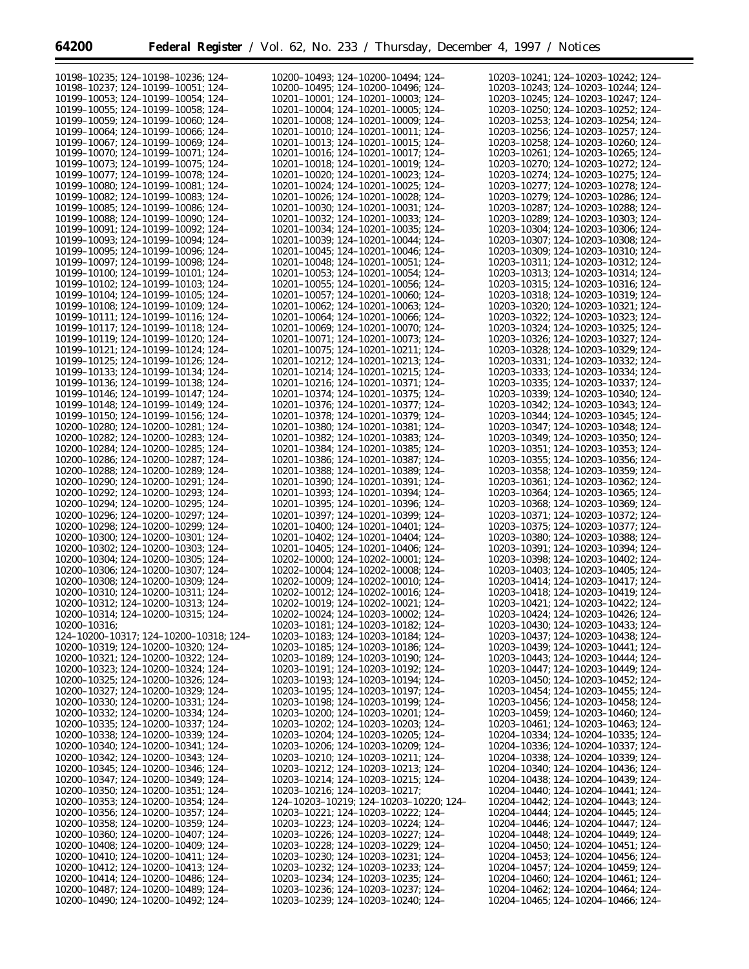| 10198-10235; 124-10198-10236; 124-                                       | 10200-10493; 124-10200-10494; 124-                                       | 10203-10241; 124-10203-10242; 124-                                            |
|--------------------------------------------------------------------------|--------------------------------------------------------------------------|-------------------------------------------------------------------------------|
| 10198-10237: 124-10199-10051: 124-                                       | 10200-10495; 124-10200-10496; 124-                                       | 10203-10243: 124-10203-10244: 124-                                            |
| 10199-10053; 124-10199-10054; 124-                                       | 10201-10001; 124-10201-10003; 124-                                       | 10203-10245; 124-10203-10247; 124-                                            |
|                                                                          |                                                                          |                                                                               |
| 10199-10055; 124-10199-10058; 124-                                       | 10201-10004; 124-10201-10005; 124-                                       | 10203-10250; 124-10203-10252; 124-                                            |
| 10199-10059; 124-10199-10060; 124-                                       | 10201-10008; 124-10201-10009; 124-                                       | 10203-10253; 124-10203-10254; 124-                                            |
| 10199-10064: 124-10199-10066: 124-                                       | 10201-10010; 124-10201-10011; 124-                                       | 10203-10256; 124-10203-10257; 124-                                            |
|                                                                          |                                                                          |                                                                               |
| 10199–10067; 124–10199–10069; 124–                                       | $10201 - 10013$ ; 124-10201-10015; 124-                                  | $10203 - 10258$ ; 124-10203-10260; 124-                                       |
| 10199-10070; 124-10199-10071; 124-                                       | 10201-10016; 124-10201-10017; 124-                                       | 10203-10261; 124-10203-10265; 124-                                            |
|                                                                          |                                                                          |                                                                               |
| 10199-10073; 124-10199-10075; 124-                                       | 10201-10018; 124-10201-10019; 124-                                       | 10203-10270; 124-10203-10272; 124-                                            |
| 10199-10077; 124-10199-10078; 124-                                       | 10201-10020; 124-10201-10023; 124-                                       | 10203-10274; 124-10203-10275; 124-                                            |
|                                                                          |                                                                          |                                                                               |
| 10199-10080; 124-10199-10081; 124-                                       | 10201-10024; 124-10201-10025; 124-                                       | 10203-10277; 124-10203-10278; 124-                                            |
| 10199-10082; 124-10199-10083; 124-                                       | 10201-10026; 124-10201-10028; 124-                                       | 10203-10279; 124-10203-10286; 124-                                            |
| 10199-10085; 124-10199-10086; 124-                                       | 10201-10030; 124-10201-10031; 124-                                       | 10203-10287; 124-10203-10288; 124-                                            |
|                                                                          |                                                                          |                                                                               |
| 10199-10088; 124-10199-10090; 124-                                       | 10201-10032; 124-10201-10033; 124-                                       | 10203-10289; 124-10203-10303; 124-                                            |
| 10199-10091; 124-10199-10092; 124-                                       | 10201-10034; 124-10201-10035; 124-                                       | 10203-10304; 124-10203-10306; 124-                                            |
| 10199-10093; 124-10199-10094; 124-                                       | 10201-10039; 124-10201-10044; 124-                                       | 10203-10307; 124-10203-10308; 124-                                            |
|                                                                          |                                                                          |                                                                               |
| 10199-10095; 124-10199-10096; 124-                                       | 10201-10045; 124-10201-10046; 124-                                       | 10203-10309; 124-10203-10310; 124-                                            |
| 10199-10097; 124-10199-10098; 124-                                       | 10201-10048; 124-10201-10051; 124-                                       | 10203-10311; 124-10203-10312; 124-                                            |
|                                                                          |                                                                          |                                                                               |
| 10199-10100; 124-10199-10101; 124-                                       | 10201-10053; 124-10201-10054; 124-                                       | 10203-10313; 124-10203-10314; 124-                                            |
| 10199-10102; 124-10199-10103; 124-                                       | 10201-10055; 124-10201-10056; 124-                                       | 10203-10315; 124-10203-10316; 124-                                            |
| 10199-10104; 124-10199-10105; 124-                                       | 10201-10057; 124-10201-10060; 124-                                       | 10203-10318; 124-10203-10319; 124-                                            |
|                                                                          |                                                                          |                                                                               |
| 10199-10108; 124-10199-10109; 124-                                       | 10201-10062; 124-10201-10063; 124-                                       | 10203-10320; 124-10203-10321; 124-                                            |
| 10199-10111; 124-10199-10116; 124-                                       | 10201-10064; 124-10201-10066; 124-                                       | 10203-10322; 124-10203-10323; 124-                                            |
|                                                                          |                                                                          |                                                                               |
| 10199-10117; 124-10199-10118; 124-                                       | 10201-10069; 124-10201-10070; 124-                                       | 10203-10324; 124-10203-10325; 124-                                            |
| 10199-10119; 124-10199-10120; 124-                                       | 10201-10071; 124-10201-10073; 124-                                       | 10203-10326; 124-10203-10327; 124-                                            |
| 10199-10121; 124-10199-10124; 124-                                       | 10201-10075; 124-10201-10211; 124-                                       | 10203-10328; 124-10203-10329; 124-                                            |
|                                                                          |                                                                          |                                                                               |
| 10199-10125; 124-10199-10126; 124-                                       | 10201-10212; 124-10201-10213; 124-                                       | 10203-10331; 124-10203-10332; 124-                                            |
| 10199-10133; 124-10199-10134; 124-                                       | 10201-10214; 124-10201-10215; 124-                                       | 10203-10333; 124-10203-10334; 124-                                            |
|                                                                          |                                                                          |                                                                               |
| 10199-10136; 124-10199-10138; 124-                                       | 10201-10216; 124-10201-10371; 124-                                       | 10203-10335; 124-10203-10337; 124-                                            |
| 10199-10146; 124-10199-10147; 124-                                       | 10201-10374; 124-10201-10375; 124-                                       | 10203-10339; 124-10203-10340; 124-                                            |
| 10199-10148; 124-10199-10149; 124-                                       | 10201-10376; 124-10201-10377; 124-                                       | 10203-10342; 124-10203-10343; 124-                                            |
|                                                                          |                                                                          |                                                                               |
| 10199-10150; 124-10199-10156; 124-                                       | 10201-10378; 124-10201-10379; 124-                                       | 10203-10344; 124-10203-10345; 124-                                            |
| 10200-10280; 124-10200-10281; 124-                                       | 10201-10380; 124-10201-10381; 124-                                       | 10203-10347; 124-10203-10348; 124-                                            |
| 10200-10282; 124-10200-10283; 124-                                       | 10201-10382; 124-10201-10383; 124-                                       | 10203-10349; 124-10203-10350; 124-                                            |
|                                                                          |                                                                          |                                                                               |
| 10200-10284; 124-10200-10285; 124-                                       | 10201-10384; 124-10201-10385; 124-                                       | 10203-10351; 124-10203-10353; 124-                                            |
| 10200-10286; 124-10200-10287; 124-                                       | 10201-10386; 124-10201-10387; 124-                                       | 10203-10355; 124-10203-10356; 124-                                            |
|                                                                          |                                                                          |                                                                               |
| 10200-10288; 124-10200-10289; 124-                                       | 10201-10388; 124-10201-10389; 124-                                       | 10203-10358; 124-10203-10359; 124-                                            |
| 10200-10290; 124-10200-10291; 124-                                       | 10201-10390; 124-10201-10391; 124-                                       | 10203-10361; 124-10203-10362; 124-                                            |
| 10200-10292; 124-10200-10293; 124-                                       | 10201-10393; 124-10201-10394; 124-                                       | 10203-10364; 124-10203-10365; 124-                                            |
|                                                                          |                                                                          |                                                                               |
| 10200-10294; 124-10200-10295; 124-                                       | 10201-10395; 124-10201-10396; 124-                                       | 10203-10368; 124-10203-10369; 124-                                            |
| 10200-10296; 124-10200-10297; 124-                                       | 10201-10397; 124-10201-10399; 124-                                       | 10203-10371; 124-10203-10372; 124-                                            |
|                                                                          |                                                                          |                                                                               |
| 10200-10298; 124-10200-10299; 124-                                       | 10201-10400; 124-10201-10401; 124-                                       | 10203-10375; 124-10203-10377; 124-                                            |
| 10200-10300; 124-10200-10301; 124-                                       | 10201-10402; 124-10201-10404; 124-                                       | 10203-10380; 124-10203-10388; 124-                                            |
| 10200-10302; 124-10200-10303; 124-                                       | 10201-10405; 124-10201-10406; 124-                                       | 10203-10391; 124-10203-10394; 124-                                            |
|                                                                          |                                                                          |                                                                               |
| 10200-10304; 124-10200-10305; 124-                                       | 10202-10000; 124-10202-10001; 124-                                       | 10203-10398; 124-10203-10402; 124-                                            |
| 10200-10306; 124-10200-10307; 124-                                       | 10202-10004; 124-10202-10008; 124-                                       | 10203-10403; 124-10203-10405; 124-                                            |
| 10200-10308; 124-10200-10309; 124-                                       | 10202-10009; 124-10202-10010; 124-                                       | 10203-10414; 124-10203-10417; 124-                                            |
|                                                                          |                                                                          |                                                                               |
| 10200-10310; 124-10200-10311; 124-                                       | 10202-10012; 124-10202-10016; 124-                                       | 10203-10418; 124-10203-10419; 124-                                            |
| 10200-10312; 124-10200-10313; 124-                                       | 10202-10019; 124-10202-10021; 124-                                       | 10203-10421; 124-10203-10422; 124-                                            |
|                                                                          |                                                                          |                                                                               |
| 10200-10314; 124-10200-10315; 124-                                       | 10202-10024; 124-10203-10002; 124-                                       | 10203-10424; 124-10203-10426; 124-                                            |
| $10200 - 10316;$                                                         | 10203-10181; 124-10203-10182; 124-                                       | 10203-10430; 124-10203-10433; 124-                                            |
| 124–10200–10317; 124–10200–10318; 124–                                   | 10203-10183; 124-10203-10184; 124-                                       | 10203-10437; 124-10203-10438; 124-                                            |
|                                                                          |                                                                          |                                                                               |
|                                                                          |                                                                          |                                                                               |
| 10200-10319; 124-10200-10320; 124-                                       | 10203-10185; 124-10203-10186; 124-                                       | 10203-10439; 124-10203-10441; 124-                                            |
| 10200-10321; 124-10200-10322; 124-                                       | 10203-10189; 124-10203-10190; 124-                                       | 10203-10443; 124-10203-10444; 124-                                            |
|                                                                          |                                                                          |                                                                               |
| 10200-10323; 124-10200-10324; 124-                                       | 10203-10191; 124-10203-10192; 124-                                       | 10203-10447; 124-10203-10449; 124-                                            |
| 10200-10325; 124-10200-10326; 124-                                       | 10203-10193; 124-10203-10194; 124-                                       | 10203-10450; 124-10203-10452; 124-                                            |
|                                                                          |                                                                          |                                                                               |
| 10200-10327; 124-10200-10329; 124-                                       | 10203-10195; 124-10203-10197; 124-                                       | 10203-10454; 124-10203-10455; 124-                                            |
| 10200-10330; 124-10200-10331; 124-                                       | 10203-10198; 124-10203-10199; 124-                                       | 10203-10456; 124-10203-10458; 124-                                            |
| 10200-10332; 124-10200-10334; 124-                                       | 10203-10200; 124-10203-10201; 124-                                       | 10203-10459; 124-10203-10460; 124-                                            |
|                                                                          |                                                                          |                                                                               |
| 10200-10335; 124-10200-10337; 124-                                       | 10203-10202; 124-10203-10203; 124-                                       | 10203-10461; 124-10203-10463; 124-                                            |
| 10200-10338; 124-10200-10339; 124-                                       | $10203 - 10204$ ; 124-10203-10205; 124-                                  | 10204-10334; 124-10204-10335; 124-                                            |
| 10200-10340; 124-10200-10341; 124-                                       | 10203-10206; 124-10203-10209; 124-                                       | 10204-10336; 124-10204-10337; 124-                                            |
|                                                                          |                                                                          |                                                                               |
| 10200-10342; 124-10200-10343; 124-                                       | 10203-10210; 124-10203-10211; 124-                                       | 10204-10338; 124-10204-10339; 124-                                            |
| 10200-10345; 124-10200-10346; 124-                                       | 10203-10212; 124-10203-10213; 124-                                       | 10204-10340; 124-10204-10436; 124-                                            |
|                                                                          |                                                                          |                                                                               |
| 10200-10347; 124-10200-10349; 124-                                       | 10203-10214; 124-10203-10215; 124-                                       | 10204-10438; 124-10204-10439; 124-                                            |
| 10200-10350; 124-10200-10351; 124-                                       | 10203-10216; 124-10203-10217;                                            | 10204-10440; 124-10204-10441; 124-                                            |
| 10200-10353; 124-10200-10354; 124-                                       | 124–10203–10219; 124–10203–10220; 124–                                   | 10204-10442; 124-10204-10443; 124-                                            |
|                                                                          |                                                                          |                                                                               |
| 10200-10356; 124-10200-10357; 124-                                       | 10203-10221; 124-10203-10222; 124-                                       | 10204-10444; 124-10204-10445; 124-                                            |
| 10200-10358; 124-10200-10359; 124-                                       | 10203-10223; 124-10203-10224; 124-                                       | 10204-10446; 124-10204-10447; 124-                                            |
| 10200-10360; 124-10200-10407; 124-                                       | 10203-10226; 124-10203-10227; 124-                                       | 10204-10448; 124-10204-10449; 124-                                            |
|                                                                          |                                                                          |                                                                               |
| 10200-10408; 124-10200-10409; 124-                                       | 10203-10228; 124-10203-10229; 124-                                       | 10204-10450; 124-10204-10451; 124-                                            |
| 10200-10410; 124-10200-10411; 124-                                       | 10203-10230; 124-10203-10231; 124-                                       | 10204-10453; 124-10204-10456; 124-                                            |
| 10200-10412; 124-10200-10413; 124-                                       | 10203-10232; 124-10203-10233; 124-                                       | 10204-10457; 124-10204-10459; 124-                                            |
|                                                                          |                                                                          |                                                                               |
| 10200-10414; 124-10200-10486; 124-                                       | 10203-10234; 124-10203-10235; 124-                                       | 10204-10460; 124-10204-10461; 124-                                            |
| 10200-10487; 124-10200-10489; 124-<br>10200-10490; 124-10200-10492; 124- | 10203-10236; 124-10203-10237; 124-<br>10203-10239; 124-10203-10240; 124- | $10204 - 10462$ ; 124-10204-10464; 124-<br>10204-10465; 124-10204-10466; 124- |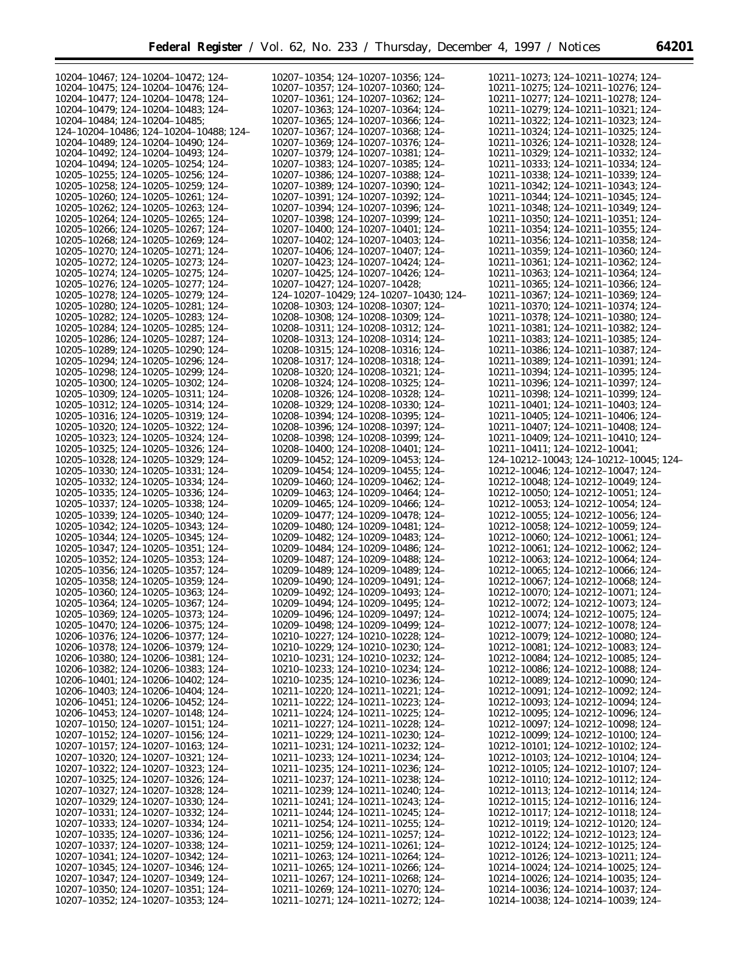| 10204-10467; 124-10204-10472; 124-                                       | 10207-10354; 124-10207-10356; 124-                                            | 10211-10273; 124-10211-10274; 124-                                       |
|--------------------------------------------------------------------------|-------------------------------------------------------------------------------|--------------------------------------------------------------------------|
| 10204-10475; 124-10204-10476; 124-                                       | 10207-10357; 124-10207-10360; 124-                                            | 10211-10275: 124-10211-10276: 124-                                       |
|                                                                          |                                                                               |                                                                          |
| 10204-10477; 124-10204-10478; 124-                                       | 10207-10361; 124-10207-10362; 124-                                            | 10211-10277; 124-10211-10278; 124-                                       |
| 10204-10479; 124-10204-10483; 124-                                       | 10207-10363; 124-10207-10364; 124-                                            | 10211-10279; 124-10211-10321; 124-                                       |
| 10204-10484; 124-10204-10485;                                            | 10207-10365; 124-10207-10366; 124-                                            | 10211-10322; 124-10211-10323; 124-                                       |
|                                                                          |                                                                               |                                                                          |
| 124-10204-10486; 124-10204-10488; 124-                                   | 10207-10367; 124-10207-10368; 124-                                            | 10211-10324; 124-10211-10325; 124-                                       |
| 10204-10489; 124-10204-10490; 124-                                       | 10207-10369; 124-10207-10376; 124-                                            | 10211-10326; 124-10211-10328; 124-                                       |
|                                                                          |                                                                               |                                                                          |
| 10204-10492; 124-10204-10493; 124-                                       | 10207-10379; 124-10207-10381; 124-                                            | 10211-10329; 124-10211-10332; 124-                                       |
| 10204-10494; 124-10205-10254; 124-                                       | 10207-10383; 124-10207-10385; 124-                                            | 10211-10333; 124-10211-10334; 124-                                       |
|                                                                          |                                                                               |                                                                          |
| 10205-10255; 124-10205-10256; 124-                                       | 10207-10386; 124-10207-10388; 124-                                            | 10211-10338; 124-10211-10339; 124-                                       |
| 10205-10258; 124-10205-10259; 124-                                       | 10207-10389; 124-10207-10390; 124-                                            | 10211-10342; 124-10211-10343; 124-                                       |
| 10205-10260; 124-10205-10261; 124-                                       | 10207-10391; 124-10207-10392; 124-                                            | 10211-10344; 124-10211-10345; 124-                                       |
|                                                                          |                                                                               |                                                                          |
| 10205-10262; 124-10205-10263; 124-                                       | 10207-10394; 124-10207-10396; 124-                                            | 10211-10348; 124-10211-10349; 124-                                       |
| 10205-10264; 124-10205-10265; 124-                                       | 10207-10398; 124-10207-10399; 124-                                            | 10211-10350: 124-10211-10351: 124-                                       |
|                                                                          |                                                                               |                                                                          |
| 10205-10266; 124-10205-10267; 124-                                       | 10207-10400; 124-10207-10401; 124-                                            | 10211-10354; 124-10211-10355; 124-                                       |
| 10205-10268: 124-10205-10269: 124-                                       | 10207-10402: 124-10207-10403: 124-                                            | 10211-10356; 124-10211-10358; 124-                                       |
| 10205-10270; 124-10205-10271; 124-                                       | 10207-10406; 124-10207-10407; 124-                                            | 10211-10359; 124-10211-10360; 124-                                       |
|                                                                          |                                                                               |                                                                          |
| 10205-10272; 124-10205-10273; 124-                                       | 10207-10423; 124-10207-10424; 124-                                            | 10211-10361; 124-10211-10362; 124-                                       |
| 10205-10274; 124-10205-10275; 124-                                       | 10207-10425; 124-10207-10426; 124-                                            | 10211-10363; 124-10211-10364; 124-                                       |
|                                                                          |                                                                               |                                                                          |
| 10205-10276; 124-10205-10277; 124-                                       | 10207-10427; 124-10207-10428;                                                 | 10211-10365; 124-10211-10366; 124-                                       |
| 10205-10278; 124-10205-10279; 124-                                       | 124-10207-10429; 124-10207-10430; 124-                                        | 10211-10367; 124-10211-10369; 124-                                       |
|                                                                          |                                                                               |                                                                          |
| 10205-10280; 124-10205-10281; 124-                                       | 10208-10303; 124-10208-10307; 124-                                            | 10211-10370; 124-10211-10374; 124-                                       |
| 10205-10282; 124-10205-10283; 124-                                       | 10208-10308; 124-10208-10309; 124-                                            | 10211-10378; 124-10211-10380; 124-                                       |
| 10205-10284: 124-10205-10285: 124-                                       | 10208-10311; 124-10208-10312; 124-                                            | 10211-10381; 124-10211-10382; 124-                                       |
|                                                                          |                                                                               |                                                                          |
| 10205-10286; 124-10205-10287; 124-                                       | 10208-10313; 124-10208-10314; 124-                                            | 10211-10383; 124-10211-10385; 124-                                       |
| 10205-10289; 124-10205-10290; 124-                                       | 10208-10315; 124-10208-10316; 124-                                            | 10211-10386; 124-10211-10387; 124-                                       |
|                                                                          |                                                                               |                                                                          |
| 10205-10294; 124-10205-10296; 124-                                       | 10208-10317; 124-10208-10318; 124-                                            | 10211-10389; 124-10211-10391; 124-                                       |
| 10205-10298; 124-10205-10299; 124-                                       | 10208-10320: 124-10208-10321: 124-                                            | 10211-10394; 124-10211-10395; 124-                                       |
|                                                                          |                                                                               |                                                                          |
| 10205-10300; 124-10205-10302; 124-                                       | 10208-10324; 124-10208-10325; 124-                                            | 10211-10396; 124-10211-10397; 124-                                       |
| 10205-10309; 124-10205-10311; 124-                                       | 10208-10326; 124-10208-10328; 124-                                            | 10211-10398: 124-10211-10399: 124-                                       |
| 10205-10312: 124-10205-10314: 124-                                       | 10208-10329; 124-10208-10330; 124-                                            | 10211-10401; 124-10211-10403; 124-                                       |
|                                                                          |                                                                               |                                                                          |
| 10205-10316; 124-10205-10319; 124-                                       | 10208-10394; 124-10208-10395; 124-                                            | 10211-10405; 124-10211-10406; 124-                                       |
| 10205-10320; 124-10205-10322; 124-                                       | 10208-10396; 124-10208-10397; 124-                                            | 10211-10407; 124-10211-10408; 124-                                       |
|                                                                          |                                                                               |                                                                          |
| 10205-10323; 124-10205-10324; 124-                                       | 10208-10398; 124-10208-10399; 124-                                            | 10211-10409; 124-10211-10410; 124-                                       |
| 10205-10325; 124-10205-10326; 124-                                       | 10208-10400; 124-10208-10401; 124-                                            | 10211-10411; 124-10212-10041;                                            |
| 10205-10328; 124-10205-10329; 124-                                       | 10209-10452; 124-10209-10453; 124-                                            | 124-10212-10043; 124-10212-10045; 124-                                   |
|                                                                          |                                                                               |                                                                          |
| 10205-10330; 124-10205-10331; 124-                                       | 10209-10454; 124-10209-10455; 124-                                            | 10212-10046; 124-10212-10047; 124-                                       |
| 10205-10332; 124-10205-10334; 124-                                       | 10209-10460; 124-10209-10462; 124-                                            | 10212-10048; 124-10212-10049; 124-                                       |
|                                                                          |                                                                               |                                                                          |
|                                                                          |                                                                               |                                                                          |
| 10205-10335; 124-10205-10336; 124-                                       | 10209-10463; 124-10209-10464; 124-                                            | 10212-10050; 124-10212-10051; 124-                                       |
|                                                                          |                                                                               |                                                                          |
| 10205-10337; 124-10205-10338; 124-                                       | 10209-10465; 124-10209-10466; 124-                                            | 10212-10053; 124-10212-10054; 124-                                       |
| 10205-10339; 124-10205-10340; 124-                                       | 10209-10477; 124-10209-10478; 124-                                            | 10212-10055; 124-10212-10056; 124-                                       |
| 10205-10342; 124-10205-10343; 124-                                       | 10209-10480; 124-10209-10481; 124-                                            | 10212-10058; 124-10212-10059; 124-                                       |
|                                                                          |                                                                               |                                                                          |
| 10205-10344; 124-10205-10345; 124-                                       | 10209-10482; 124-10209-10483; 124-                                            | 10212-10060; 124-10212-10061; 124-                                       |
| 10205-10347; 124-10205-10351; 124-                                       | 10209-10484; 124-10209-10486; 124-                                            | 10212-10061; 124-10212-10062; 124-                                       |
| 10205-10352: 124-10205-10353: 124-                                       |                                                                               |                                                                          |
|                                                                          | 10209-10487; 124-10209-10488; 124-                                            | 10212-10063; 124-10212-10064; 124-                                       |
| 10205-10356; 124-10205-10357; 124-                                       | 10209-10489; 124-10209-10489; 124-                                            | 10212-10065; 124-10212-10066; 124-                                       |
| 10205-10358; 124-10205-10359; 124-                                       | 10209-10490; 124-10209-10491; 124-                                            | 10212-10067: 124-10212-10068: 124-                                       |
|                                                                          |                                                                               |                                                                          |
| 10205-10360; 124-10205-10363; 124-                                       | 10209-10492; 124-10209-10493; 124-                                            | 10212-10070; 124-10212-10071; 124-                                       |
| 10205-10364; 124-10205-10367; 124-                                       | 10209-10494; 124-10209-10495; 124-                                            | 10212-10072; 124-10212-10073; 124-                                       |
|                                                                          |                                                                               |                                                                          |
| 10205-10369; 124-10205-10373; 124-                                       | 10209-10496; 124-10209-10497; 124-                                            | 10212-10074; 124-10212-10075; 124-                                       |
| 10205-10470; 124-10206-10375; 124-                                       | 10209-10498; 124-10209-10499; 124-                                            | 10212-10077; 124-10212-10078; 124-                                       |
| 10206-10376; 124-10206-10377; 124-                                       | 10210-10227; 124-10210-10228; 124-                                            | 10212-10079; 124-10212-10080; 124-                                       |
|                                                                          |                                                                               |                                                                          |
| 10206-10378; 124-10206-10379; 124-                                       | 10210-10229; 124-10210-10230; 124-                                            | 10212-10081; 124-10212-10083; 124-                                       |
| 10206-10380; 124-10206-10381; 124-                                       | 10210-10231; 124-10210-10232; 124-                                            | 10212-10084; 124-10212-10085; 124-                                       |
| 10206-10382; 124-10206-10383; 124-                                       | 10210-10233; 124-10210-10234; 124-                                            | 10212-10086; 124-10212-10088; 124-                                       |
|                                                                          |                                                                               |                                                                          |
| 10206-10401; 124-10206-10402; 124-                                       | 10210-10235; 124-10210-10236; 124-                                            | 10212-10089; 124-10212-10090; 124-                                       |
| 10206-10403; 124-10206-10404; 124-                                       | 10211-10220; 124-10211-10221; 124-                                            | 10212-10091; 124-10212-10092; 124-                                       |
|                                                                          |                                                                               |                                                                          |
| 10206-10451; 124-10206-10452; 124-                                       | 10211-10222; 124-10211-10223; 124-                                            | 10212-10093; 124-10212-10094; 124-                                       |
| 10206-10453; 124-10207-10148; 124-                                       | 10211-10224; 124-10211-10225; 124-                                            | 10212-10095; 124-10212-10096; 124-                                       |
| 10207-10150; 124-10207-10151; 124-                                       | 10211-10227; 124-10211-10228; 124-                                            | 10212-10097; 124-10212-10098; 124-                                       |
|                                                                          |                                                                               |                                                                          |
| 10207-10152; 124-10207-10156; 124-                                       | 10211-10229; 124-10211-10230; 124-                                            | 10212-10099; 124-10212-10100; 124-                                       |
| 10207-10157; 124-10207-10163; 124-                                       | 10211-10231; 124-10211-10232; 124-                                            | 10212-10101; 124-10212-10102; 124-                                       |
| 10207-10320; 124-10207-10321; 124-                                       |                                                                               |                                                                          |
|                                                                          | 10211-10233; 124-10211-10234; 124-                                            | 10212-10103; 124-10212-10104; 124-                                       |
| 10207-10322; 124-10207-10323; 124-                                       | 10211-10235; 124-10211-10236; 124-                                            | 10212-10105; 124-10212-10107; 124-                                       |
| 10207-10325; 124-10207-10326; 124-                                       | 10211-10237; 124-10211-10238; 124-                                            | 10212-10110; 124-10212-10112; 124-                                       |
|                                                                          |                                                                               |                                                                          |
| 10207-10327; 124-10207-10328; 124-                                       | 10211-10239; 124-10211-10240; 124-                                            | 10212-10113; 124-10212-10114; 124-                                       |
| 10207-10329; 124-10207-10330; 124-                                       | 10211-10241; 124-10211-10243; 124-                                            | 10212-10115; 124-10212-10116; 124-                                       |
| 10207-10331; 124-10207-10332; 124-                                       | 10211-10244; 124-10211-10245; 124-                                            | 10212-10117; 124-10212-10118; 124-                                       |
|                                                                          |                                                                               |                                                                          |
| 10207-10333; 124-10207-10334; 124-                                       | $10211 - 10254$ ; 124-10211-10255; 124-                                       | 10212-10119; 124-10212-10120; 124-                                       |
| 10207-10335; 124-10207-10336; 124-                                       | $10211 - 10256$ ; 124-10211-10257; 124-                                       | 10212-10122; 124-10212-10123; 124-                                       |
|                                                                          |                                                                               |                                                                          |
| 10207–10337; 124–10207–10338; 124–                                       | 10211-10259; 124-10211-10261; 124-                                            | 10212-10124; 124-10212-10125; 124-                                       |
| 10207-10341; 124-10207-10342; 124-                                       | 10211-10263; 124-10211-10264; 124-                                            | 10212-10126; 124-10213-10211; 124-                                       |
| 10207-10345; 124-10207-10346; 124-                                       | $10211 - 10265$ ; 124-10211-10266; 124-                                       | 10214-10024; 124-10214-10025; 124-                                       |
|                                                                          |                                                                               |                                                                          |
| 10207-10347; 124-10207-10349; 124-                                       | 10211-10267; 124-10211-10268; 124-                                            | 10214-10026; 124-10214-10035; 124-                                       |
| 10207-10350; 124-10207-10351; 124-<br>10207-10352; 124-10207-10353; 124- | $10211 - 10269$ ; 124-10211-10270; 124-<br>10211-10271; 124-10211-10272; 124- | 10214-10036; 124-10214-10037; 124-<br>10214-10038; 124-10214-10039; 124- |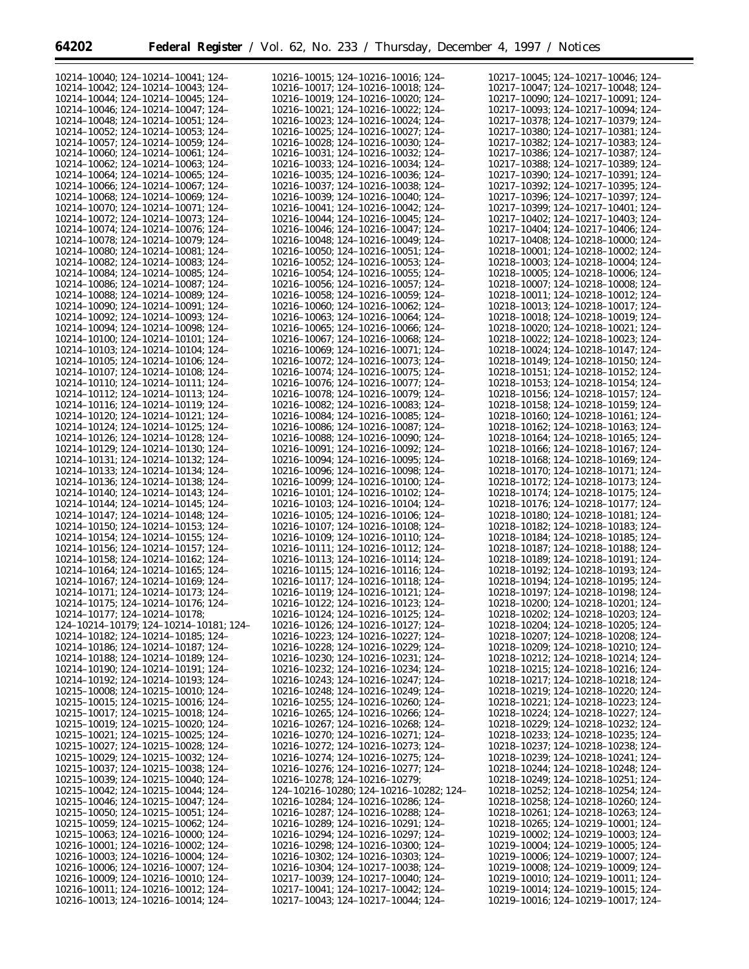$\equiv$ 

| 10214-10040; 124-10214-10041; 124-                                       | 10216-10015; 124-10216-10016; 124-                                       | 10217-10045; 124-10217-10046; 124-                                       |
|--------------------------------------------------------------------------|--------------------------------------------------------------------------|--------------------------------------------------------------------------|
|                                                                          | 10216-10017: 124-10216-10018: 124-                                       |                                                                          |
| 10214-10042; 124-10214-10043; 124-                                       |                                                                          | 10217-10047; 124-10217-10048; 124-                                       |
| 10214-10044; 124-10214-10045; 124-                                       | 10216-10019; 124-10216-10020; 124-                                       | 10217-10090; 124-10217-10091; 124-                                       |
| 10214-10046: 124-10214-10047: 124-                                       | 10216-10021; 124-10216-10022; 124-                                       | 10217-10093; 124-10217-10094; 124-                                       |
| 10214-10048; 124-10214-10051; 124-                                       | 10216-10023; 124-10216-10024; 124-                                       | 10217-10378; 124-10217-10379; 124-                                       |
| 10214-10052; 124-10214-10053; 124-                                       | 10216-10025; 124-10216-10027; 124-                                       | 10217-10380; 124-10217-10381; 124-                                       |
| 10214-10057; 124-10214-10059; 124-                                       | 10216-10028; 124-10216-10030; 124-                                       | 10217-10382; 124-10217-10383; 124-                                       |
|                                                                          |                                                                          |                                                                          |
| 10214-10060; 124-10214-10061; 124-                                       | 10216-10031; 124-10216-10032; 124-                                       | 10217-10386: 124-10217-10387: 124-                                       |
| 10214-10062; 124-10214-10063; 124-                                       | 10216-10033; 124-10216-10034; 124-                                       | 10217-10388; 124-10217-10389; 124-                                       |
| 10214-10064; 124-10214-10065; 124-                                       | 10216-10035; 124-10216-10036; 124-                                       | 10217-10390; 124-10217-10391; 124-                                       |
| 10214-10066; 124-10214-10067; 124-                                       | 10216-10037; 124-10216-10038; 124-                                       | 10217-10392; 124-10217-10395; 124-                                       |
|                                                                          |                                                                          |                                                                          |
| 10214-10068; 124-10214-10069; 124-                                       | 10216-10039; 124-10216-10040; 124-                                       | 10217-10396; 124-10217-10397; 124-                                       |
| 10214-10070; 124-10214-10071; 124-                                       | 10216-10041; 124-10216-10042; 124-                                       | 10217-10399: 124-10217-10401: 124-                                       |
| 10214-10072; 124-10214-10073; 124-                                       | 10216-10044: 124-10216-10045: 124-                                       | 10217-10402; 124-10217-10403; 124-                                       |
| 10214-10074; 124-10214-10076; 124-                                       | 10216-10046; 124-10216-10047; 124-                                       | 10217-10404; 124-10217-10406; 124-                                       |
| 10214-10078; 124-10214-10079; 124-                                       | 10216-10048: 124-10216-10049: 124-                                       | 10217-10408: 124-10218-10000: 124-                                       |
| 10214-10080; 124-10214-10081; 124-                                       | 10216-10050; 124-10216-10051; 124-                                       | 10218-10001; 124-10218-10002; 124-                                       |
|                                                                          |                                                                          |                                                                          |
| 10214-10082; 124-10214-10083; 124-                                       | 10216-10052; 124-10216-10053; 124-                                       | 10218-10003; 124-10218-10004; 124-                                       |
| 10214-10084; 124-10214-10085; 124-                                       | 10216-10054; 124-10216-10055; 124-                                       | 10218-10005; 124-10218-10006; 124-                                       |
| 10214-10086; 124-10214-10087; 124-                                       | 10216-10056; 124-10216-10057; 124-                                       | 10218-10007; 124-10218-10008; 124-                                       |
| 10214-10088; 124-10214-10089; 124-                                       | 10216-10058; 124-10216-10059; 124-                                       | 10218-10011; 124-10218-10012; 124-                                       |
|                                                                          |                                                                          |                                                                          |
| 10214-10090; 124-10214-10091; 124-                                       | 10216-10060; 124-10216-10062; 124-                                       | 10218-10013; 124-10218-10017; 124-                                       |
| 10214-10092: 124-10214-10093: 124-                                       | 10216-10063; 124-10216-10064; 124-                                       | 10218-10018; 124-10218-10019; 124-                                       |
| 10214-10094: 124-10214-10098: 124-                                       | 10216-10065; 124-10216-10066; 124-                                       | 10218-10020: 124-10218-10021: 124-                                       |
| 10214-10100; 124-10214-10101; 124-                                       | 10216-10067: 124-10216-10068: 124-                                       | 10218-10022; 124-10218-10023; 124-                                       |
| 10214-10103; 124-10214-10104; 124-                                       | 10216-10069; 124-10216-10071; 124-                                       | 10218-10024; 124-10218-10147; 124-                                       |
|                                                                          |                                                                          |                                                                          |
| 10214-10105; 124-10214-10106; 124-                                       | 10216-10072; 124-10216-10073; 124-                                       | 10218-10149: 124-10218-10150: 124-                                       |
| 10214-10107; 124-10214-10108; 124-                                       | 10216-10074; 124-10216-10075; 124-                                       | 10218-10151; 124-10218-10152; 124-                                       |
| 10214-10110; 124-10214-10111; 124-                                       | 10216-10076; 124-10216-10077; 124-                                       | 10218-10153; 124-10218-10154; 124-                                       |
| 10214-10112: 124-10214-10113: 124-                                       | 10216-10078; 124-10216-10079; 124-                                       | 10218-10156; 124-10218-10157; 124-                                       |
|                                                                          |                                                                          |                                                                          |
| 10214-10116; 124-10214-10119; 124-                                       | 10216-10082; 124-10216-10083; 124-                                       | 10218-10158; 124-10218-10159; 124-                                       |
| 10214-10120; 124-10214-10121; 124-                                       | 10216-10084; 124-10216-10085; 124-                                       | 10218-10160; 124-10218-10161; 124-                                       |
| 10214-10124; 124-10214-10125; 124-                                       | 10216-10086; 124-10216-10087; 124-                                       | 10218-10162; 124-10218-10163; 124-                                       |
| 10214-10126; 124-10214-10128; 124-                                       | 10216-10088; 124-10216-10090; 124-                                       | 10218-10164; 124-10218-10165; 124-                                       |
| 10214-10129; 124-10214-10130; 124-                                       | 10216-10091; 124-10216-10092; 124-                                       | 10218-10166; 124-10218-10167; 124-                                       |
|                                                                          |                                                                          |                                                                          |
| 10214-10131; 124-10214-10132; 124-                                       | 10216-10094; 124-10216-10095; 124-                                       | 10218-10168; 124-10218-10169; 124-                                       |
| 10214-10133; 124-10214-10134; 124-                                       | 10216-10096; 124-10216-10098; 124-                                       | 10218-10170; 124-10218-10171; 124-                                       |
| 10214-10136; 124-10214-10138; 124-                                       | 10216-10099; 124-10216-10100; 124-                                       | 10218-10172; 124-10218-10173; 124-                                       |
| 10214-10140; 124-10214-10143; 124-                                       | 10216-10101; 124-10216-10102; 124-                                       | 10218-10174; 124-10218-10175; 124-                                       |
| 10214-10144; 124-10214-10145; 124-                                       | 10216-10103; 124-10216-10104; 124-                                       | 10218-10176; 124-10218-10177; 124-                                       |
|                                                                          |                                                                          |                                                                          |
| 10214-10147; 124-10214-10148; 124-                                       | 10216-10105; 124-10216-10106; 124-                                       | 10218-10180; 124-10218-10181; 124-                                       |
| 10214-10150; 124-10214-10153; 124-                                       | 10216-10107; 124-10216-10108; 124-                                       | 10218-10182; 124-10218-10183; 124-                                       |
| 10214-10154; 124-10214-10155; 124-                                       | 10216-10109; 124-10216-10110; 124-                                       | 10218-10184; 124-10218-10185; 124-                                       |
| 10214-10156: 124-10214-10157: 124-                                       | 10216-10111; 124-10216-10112; 124-                                       | 10218-10187; 124-10218-10188; 124-                                       |
| 10214-10158; 124-10214-10162; 124-                                       | 10216-10113; 124-10216-10114; 124-                                       | 10218-10189; 124-10218-10191; 124-                                       |
|                                                                          |                                                                          |                                                                          |
| 10214-10164; 124-10214-10165; 124-                                       | 10216-10115; 124-10216-10116; 124-                                       | 10218-10192: 124-10218-10193: 124-                                       |
| 10214-10167; 124-10214-10169; 124-                                       | 10216-10117; 124-10216-10118; 124-                                       | 10218-10194: 124-10218-10195: 124-                                       |
| 10214-10171; 124-10214-10173; 124-                                       | 10216-10119; 124-10216-10121; 124-                                       | 10218-10197; 124-10218-10198; 124-                                       |
| 10214-10175; 124-10214-10176; 124-                                       | 10216-10122; 124-10216-10123; 124-                                       | 10218-10200: 124-10218-10201: 124-                                       |
| 10214-10177; 124-10214-10178;                                            | 10216-10124; 124-10216-10125; 124-                                       | 10218-10202; 124-10218-10203; 124-                                       |
|                                                                          |                                                                          |                                                                          |
| 124-10214-10179; 124-10214-10181; 124-                                   | 10216-10126; 124-10216-10127; 124-                                       | 10218-10204; 124-10218-10205; 124-                                       |
| 10214-10182; 124-10214-10185; 124-                                       | 10216-10223; 124-10216-10227; 124-                                       | 10218-10207; 124-10218-10208; 124-                                       |
| 10214-10186; 124-10214-10187; 124-                                       | 10216-10228; 124-10216-10229; 124-                                       | 10218-10209; 124-10218-10210; 124-                                       |
| 10214-10188; 124-10214-10189; 124-                                       | 10216-10230; 124-10216-10231; 124-                                       | 10218-10212; 124-10218-10214; 124-                                       |
| 10214-10190; 124-10214-10191; 124-                                       | 10216-10232; 124-10216-10234; 124-                                       | 10218-10215; 124-10218-10216; 124-                                       |
|                                                                          |                                                                          |                                                                          |
| 10214-10192; 124-10214-10193; 124-                                       | 10216-10243; 124-10216-10247; 124-                                       | 10218-10217; 124-10218-10218; 124-                                       |
| $10215 - 10008$ ; 124-10215-10010; 124-                                  | 10216-10248; 124-10216-10249; 124-                                       | 10218-10219; 124-10218-10220; 124-                                       |
| $10215 - 10015$ ; 124-10215-10016; 124-                                  | 10216-10255; 124-10216-10260; 124-                                       | 10218-10221; 124-10218-10223; 124-                                       |
| $10215 - 10017$ ; 124-10215-10018; 124-                                  | 10216-10265; 124-10216-10266; 124-                                       | 10218-10224; 124-10218-10227; 124-                                       |
|                                                                          |                                                                          |                                                                          |
| $10215 - 10019$ ; 124-10215-10020; 124-                                  | 10216-10267; 124-10216-10268; 124-                                       | 10218-10229; 124-10218-10232; 124-                                       |
| $10215 - 10021$ ; 124-10215-10025; 124-                                  | 10216-10270; 124-10216-10271; 124-                                       | 10218-10233; 124-10218-10235; 124-                                       |
| 10215-10027; 124-10215-10028; 124-                                       | 10216-10272; 124-10216-10273; 124-                                       | 10218-10237; 124-10218-10238; 124-                                       |
| $10215 - 10029$ ; 124-10215-10032; 124-                                  | 10216-10274; 124-10216-10275; 124-                                       | 10218-10239; 124-10218-10241; 124-                                       |
| 10215-10037; 124-10215-10038; 124-                                       | $10216 - 10276$ ; 124-10216-10277; 124-                                  | 10218-10244; 124-10218-10248; 124-                                       |
|                                                                          |                                                                          |                                                                          |
| $10215 - 10039$ ; 124-10215-10040; 124-                                  | $10216 - 10278$ ; 124-10216-10279;                                       | 10218-10249; 124-10218-10251; 124-                                       |
| $10215 - 10042$ ; 124-10215-10044; 124-                                  | $124-10216-10280$ ; $124-10216-10282$ ; $124-$                           | 10218-10252; 124-10218-10254; 124-                                       |
| $10215 - 10046$ ; 124-10215-10047; 124-                                  | 10216-10284; 124-10216-10286; 124-                                       | 10218-10258; 124-10218-10260; 124-                                       |
| $10215 - 10050$ ; 124-10215-10051; 124-                                  | 10216-10287; 124-10216-10288; 124-                                       | 10218-10261; 124-10218-10263; 124-                                       |
| $10215 - 10059$ ; 124-10215-10062; 124-                                  |                                                                          | $10218 - 10265$ ; 124-10219-10001; 124-                                  |
|                                                                          |                                                                          |                                                                          |
| $10215 - 10063$ ; 124-10216-10000; 124-                                  | 10216-10289; 124-10216-10291; 124-                                       |                                                                          |
|                                                                          | 10216-10294; 124-10216-10297; 124-                                       | $10219-10002$ ; $124-10219-10003$ ; $124-$                               |
| $10216 - 10001$ ; 124-10216-10002; 124-                                  | 10216-10298; 124-10216-10300; 124-                                       | $10219 - 10004$ ; 124-10219-10005; 124-                                  |
| $10216 - 10003$ ; 124-10216-10004; 124-                                  | 10216-10302; 124-10216-10303; 124-                                       | $10219-10006$ ; $124-10219-10007$ ; $124-$                               |
|                                                                          |                                                                          |                                                                          |
| $10216 - 10006$ ; 124-10216-10007; 124-                                  | 10216-10304; 124-10217-10038; 124-                                       | $10219-10008$ ; 124-10219-10009; 124-                                    |
| $10216 - 10009$ ; 124-10216-10010; 124-                                  | 10217-10039; 124-10217-10040; 124-                                       | 10219-10010; 124-10219-10011; 124-                                       |
| 10216-10011; 124-10216-10012; 124-<br>10216-10013; 124-10216-10014; 124- | 10217-10041; 124-10217-10042; 124-<br>10217-10043; 124-10217-10044; 124- | 10219-10014; 124-10219-10015; 124-<br>10219-10016; 124-10219-10017; 124- |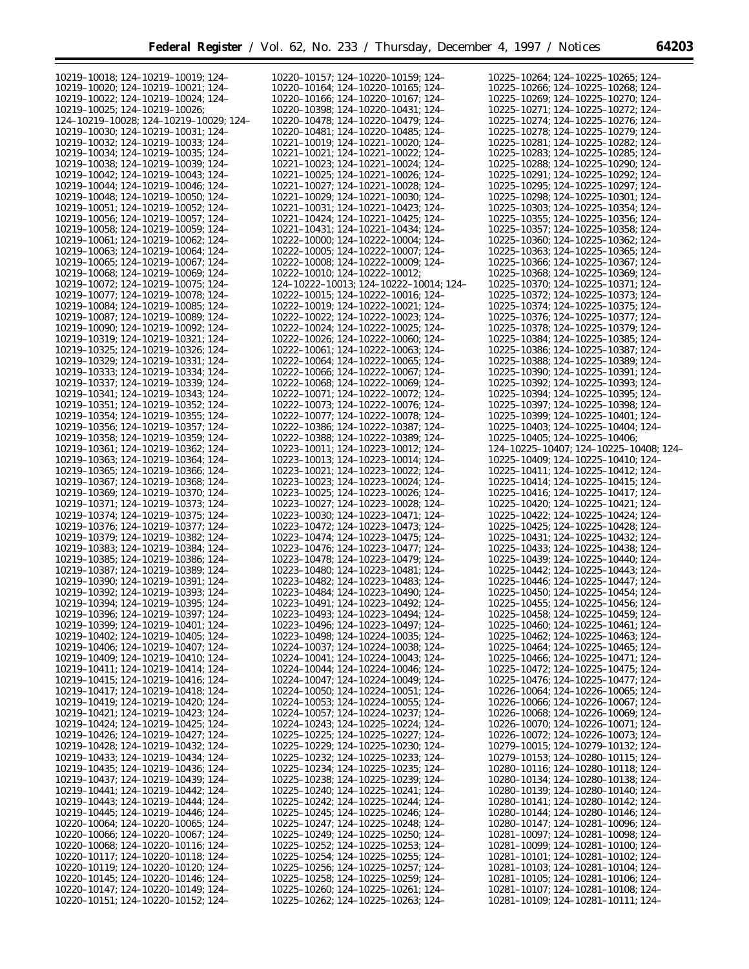| 10219-10018; 124-10219-10019; 124-      | 10220-10157; 124-10220-10159; 124-      | 10225-10264; 124-10225-10265; 124-      |
|-----------------------------------------|-----------------------------------------|-----------------------------------------|
| 10219-10020; 124-10219-10021; 124-      | 10220-10164: 124-10220-10165: 124-      | 10225-10266; 124-10225-10268; 124-      |
| 10219-10022; 124-10219-10024; 124-      | 10220-10166; 124-10220-10167; 124-      | 10225-10269; 124-10225-10270; 124-      |
|                                         |                                         |                                         |
| 10219-10025; 124-10219-10026;           | 10220-10398; 124-10220-10431; 124-      | 10225-10271; 124-10225-10272; 124-      |
| 124-10219-10028; 124-10219-10029; 124-  | 10220-10478; 124-10220-10479; 124-      | 10225-10274; 124-10225-10276; 124-      |
| 10219-10030; 124-10219-10031; 124-      | 10220-10481; 124-10220-10485; 124-      | 10225-10278; 124-10225-10279; 124-      |
| 10219-10032; 124-10219-10033; 124-      | 10221-10019; 124-10221-10020; 124-      | 10225-10281; 124-10225-10282; 124-      |
| 10219-10034; 124-10219-10035; 124-      | 10221-10021; 124-10221-10022; 124-      | 10225-10283; 124-10225-10285; 124-      |
| 10219-10038; 124-10219-10039; 124-      | 10221-10023; 124-10221-10024; 124-      | 10225-10288; 124-10225-10290; 124-      |
| 10219-10042; 124-10219-10043; 124-      | 10221-10025; 124-10221-10026; 124-      | 10225-10291; 124-10225-10292; 124-      |
| 10219-10044; 124-10219-10046; 124-      | 10221-10027; 124-10221-10028; 124-      | 10225-10295; 124-10225-10297; 124-      |
| 10219-10048: 124-10219-10050: 124-      | 10221-10029; 124-10221-10030; 124-      | 10225-10298; 124-10225-10301; 124-      |
|                                         |                                         |                                         |
| 10219-10051: 124-10219-10052: 124-      | 10221-10031; 124-10221-10423; 124-      | 10225-10303; 124-10225-10354; 124-      |
| 10219-10056; 124-10219-10057; 124-      | 10221-10424; 124-10221-10425; 124-      | 10225-10355; 124-10225-10356; 124-      |
| 10219-10058; 124-10219-10059; 124-      | 10221-10431; 124-10221-10434; 124-      | 10225-10357; 124-10225-10358; 124-      |
| 10219-10061; 124-10219-10062; 124-      | 10222-10000; 124-10222-10004; 124-      | 10225-10360; 124-10225-10362; 124-      |
| 10219-10063; 124-10219-10064; 124-      | 10222-10005; 124-10222-10007; 124-      | 10225-10363; 124-10225-10365; 124-      |
| 10219-10065; 124-10219-10067; 124-      | 10222-10008; 124-10222-10009; 124-      | 10225-10366; 124-10225-10367; 124-      |
| 10219-10068; 124-10219-10069; 124-      | 10222-10010; 124-10222-10012;           | 10225-10368; 124-10225-10369; 124-      |
| 10219-10072; 124-10219-10075; 124-      | 124-10222-10013; 124-10222-10014; 124-  | 10225-10370; 124-10225-10371; 124-      |
|                                         | 10222-10015; 124-10222-10016; 124-      |                                         |
| 10219-10077; 124-10219-10078; 124-      |                                         | 10225-10372; 124-10225-10373; 124-      |
| 10219-10084; 124-10219-10085; 124-      | 10222-10019; 124-10222-10021; 124-      | 10225-10374; 124-10225-10375; 124-      |
| 10219-10087; 124-10219-10089; 124-      | 10222-10022; 124-10222-10023; 124-      | 10225-10376; 124-10225-10377; 124-      |
| 10219-10090; 124-10219-10092; 124-      | 10222-10024; 124-10222-10025; 124-      | 10225-10378; 124-10225-10379; 124-      |
| 10219-10319; 124-10219-10321; 124-      | 10222-10026; 124-10222-10060; 124-      | 10225-10384; 124-10225-10385; 124-      |
| 10219-10325; 124-10219-10326; 124-      | 10222-10061; 124-10222-10063; 124-      | 10225-10386; 124-10225-10387; 124-      |
| 10219-10329; 124-10219-10331; 124-      | 10222-10064: 124-10222-10065: 124-      | 10225-10388; 124-10225-10389; 124-      |
| 10219-10333; 124-10219-10334; 124-      | 10222-10066; 124-10222-10067; 124-      | 10225-10390; 124-10225-10391; 124-      |
|                                         | 10222-10068; 124-10222-10069; 124-      |                                         |
| 10219-10337; 124-10219-10339; 124-      |                                         | 10225-10392; 124-10225-10393; 124-      |
| 10219-10341; 124-10219-10343; 124-      | 10222-10071; 124-10222-10072; 124-      | 10225-10394; 124-10225-10395; 124-      |
| 10219-10351; 124-10219-10352; 124-      | 10222-10073; 124-10222-10076; 124-      | 10225-10397; 124-10225-10398; 124-      |
| 10219-10354; 124-10219-10355; 124-      | 10222-10077; 124-10222-10078; 124-      | 10225-10399; 124-10225-10401; 124-      |
| 10219-10356; 124-10219-10357; 124-      | 10222-10386; 124-10222-10387; 124-      | 10225-10403; 124-10225-10404; 124-      |
| 10219-10358; 124-10219-10359; 124-      | 10222-10388; 124-10222-10389; 124-      | $10225 - 10405$ ; 124-10225-10406;      |
| 10219-10361; 124-10219-10362; 124-      | 10223-10011; 124-10223-10012; 124-      | 124-10225-10407; 124-10225-10408; 124-  |
| 10219-10363; 124-10219-10364; 124-      | 10223-10013; 124-10223-10014; 124-      | 10225-10409; 124-10225-10410; 124-      |
| 10219-10365; 124-10219-10366; 124-      | 10223-10021; 124-10223-10022; 124-      | 10225-10411; 124-10225-10412; 124-      |
| 10219-10367; 124-10219-10368; 124-      | 10223-10023; 124-10223-10024; 124-      | 10225-10414; 124-10225-10415; 124-      |
|                                         |                                         |                                         |
| 10219-10369; 124-10219-10370; 124-      | 10223-10025; 124-10223-10026; 124-      | 10225-10416; 124-10225-10417; 124-      |
| 10219-10371; 124-10219-10373; 124-      | 10223-10027; 124-10223-10028; 124-      | 10225-10420; 124-10225-10421; 124-      |
| 10219-10374; 124-10219-10375; 124-      | 10223-10030; 124-10223-10471; 124-      | 10225-10422; 124-10225-10424; 124-      |
| 10219-10376; 124-10219-10377; 124-      | 10223-10472; 124-10223-10473; 124-      | 10225-10425; 124-10225-10428; 124-      |
| 10219-10379; 124-10219-10382; 124-      | 10223-10474; 124-10223-10475; 124-      | 10225-10431; 124-10225-10432; 124-      |
| 10219-10383; 124-10219-10384; 124-      | 10223-10476; 124-10223-10477; 124-      | 10225-10433; 124-10225-10438; 124-      |
| 10219-10385; 124-10219-10386; 124-      | 10223-10478; 124-10223-10479; 124-      | 10225-10439; 124-10225-10440; 124-      |
| 10219-10387; 124-10219-10389; 124-      | 10223-10480; 124-10223-10481; 124-      | 10225-10442; 124-10225-10443; 124-      |
| 10219-10390; 124-10219-10391; 124-      | 10223-10482; 124-10223-10483; 124-      | 10225-10446; 124-10225-10447; 124-      |
| 10219-10392; 124-10219-10393; 124-      | 10223-10484; 124-10223-10490; 124-      | 10225-10450; 124-10225-10454; 124-      |
|                                         | 10223-10491; 124-10223-10492; 124-      |                                         |
| 10219-10394; 124-10219-10395; 124-      |                                         | 10225-10455; 124-10225-10456; 124-      |
| 10219-10396; 124-10219-10397; 124-      | 10223-10493; 124-10223-10494; 124-      | 10225-10458; 124-10225-10459; 124-      |
| 10219-10399; 124-10219-10401; 124-      | 10223-10496; 124-10223-10497; 124-      | $10225 - 10460$ ; 124-10225-10461; 124- |
| 10219-10402; 124-10219-10405; 124-      | 10223-10498; 124-10224-10035; 124-      | $10225 - 10462$ ; 124-10225-10463; 124- |
| 10219-10406; 124-10219-10407; 124-      | 10224-10037; 124-10224-10038; 124-      | 10225-10464; 124-10225-10465; 124-      |
| 10219-10409; 124-10219-10410; 124-      | 10224-10041; 124-10224-10043; 124-      | $10225 - 10466$ ; 124-10225-10471; 124- |
| 10219-10411; 124-10219-10414; 124-      | 10224-10044; 124-10224-10046; 124-      | $10225 - 10472$ ; 124-10225-10475; 124- |
| 10219-10415; 124-10219-10416; 124-      | 10224-10047; 124-10224-10049; 124-      | 10225-10476; 124-10225-10477; 124-      |
| 10219-10417; 124-10219-10418; 124-      | $10224 - 10050$ ; 124-10224-10051; 124- | $10226 - 10064$ ; 124-10226-10065; 124- |
| 10219-10419; 124-10219-10420; 124-      | $10224 - 10053$ ; 124-10224-10055; 124- | 10226-10066; 124-10226-10067; 124-      |
| 10219-10421; 124-10219-10423; 124-      | 10224-10057; 124-10224-10237; 124-      | 10226-10068; 124-10226-10069; 124-      |
|                                         |                                         |                                         |
| 10219-10424; 124-10219-10425; 124-      | 10224-10243; 124-10225-10224; 124-      | $10226 - 10070$ ; 124-10226-10071; 124- |
| 10219-10426; 124-10219-10427; 124-      | $10225 - 10225$ ; 124-10225-10227; 124- | $10226 - 10072$ ; 124-10226-10073; 124- |
| 10219-10428; 124-10219-10432; 124-      | $10225 - 10229$ ; 124-10225-10230; 124- | $10279 - 10015$ ; 124-10279-10132; 124- |
| 10219-10433; 124-10219-10434; 124-      | 10225-10232; 124-10225-10233; 124-      | $10279 - 10153$ ; 124-10280-10115; 124- |
| 10219-10435; 124-10219-10436; 124-      | $10225 - 10234$ ; 124-10225-10235; 124- | $10280 - 10116$ ; 124-10280-10118; 124- |
| 10219-10437; 124-10219-10439; 124-      | $10225 - 10238$ ; 124-10225-10239; 124- | 10280-10134; 124-10280-10138; 124-      |
| 10219-10441; 124-10219-10442; 124-      | $10225 - 10240$ ; 124-10225-10241; 124- | 10280-10139; 124-10280-10140; 124-      |
| 10219-10443; 124-10219-10444; 124-      | $10225 - 10242$ ; 124-10225-10244; 124- | 10280-10141; 124-10280-10142; 124-      |
| 10219-10445; 124-10219-10446; 124-      | $10225 - 10245$ ; 124-10225-10246; 124- | 10280-10144; 124-10280-10146; 124-      |
| $10220 - 10064$ ; 124-10220-10065; 124- | $10225 - 10247$ ; 124-10225-10248; 124- | 10280-10147; 124-10281-10096; 124-      |
| $10220 - 10066$ ; 124-10220-10067; 124- | $10225 - 10249$ ; 124-10225-10250; 124- | 10281-10097; 124-10281-10098; 124-      |
|                                         |                                         |                                         |
| $10220 - 10068$ ; 124-10220-10116; 124- | $10225 - 10252$ ; 124-10225-10253; 124- | $10281 - 10099$ ; 124-10281-10100; 124- |
| 10220-10117; 124-10220-10118; 124-      | $10225 - 10254$ ; 124-10225-10255; 124- | $10281 - 10101$ ; 124-10281-10102; 124- |
| 10220-10119; 124-10220-10120; 124-      | $10225 - 10256$ ; 124-10225-10257; 124- | 10281-10103; 124-10281-10104; 124-      |
| 10220-10145; 124-10220-10146; 124-      | $10225 - 10258$ ; 124-10225-10259; 124- | $10281 - 10105$ ; 124-10281-10106; 124- |
| 10220-10147; 124-10220-10149; 124-      | $10225 - 10260$ ; 124-10225-10261; 124- | 10281-10107; 124-10281-10108; 124-      |
| 10220-10151; 124-10220-10152; 124-      | 10225-10262; 124-10225-10263; 124-      | 10281-10109; 124-10281-10111; 124-      |
|                                         |                                         |                                         |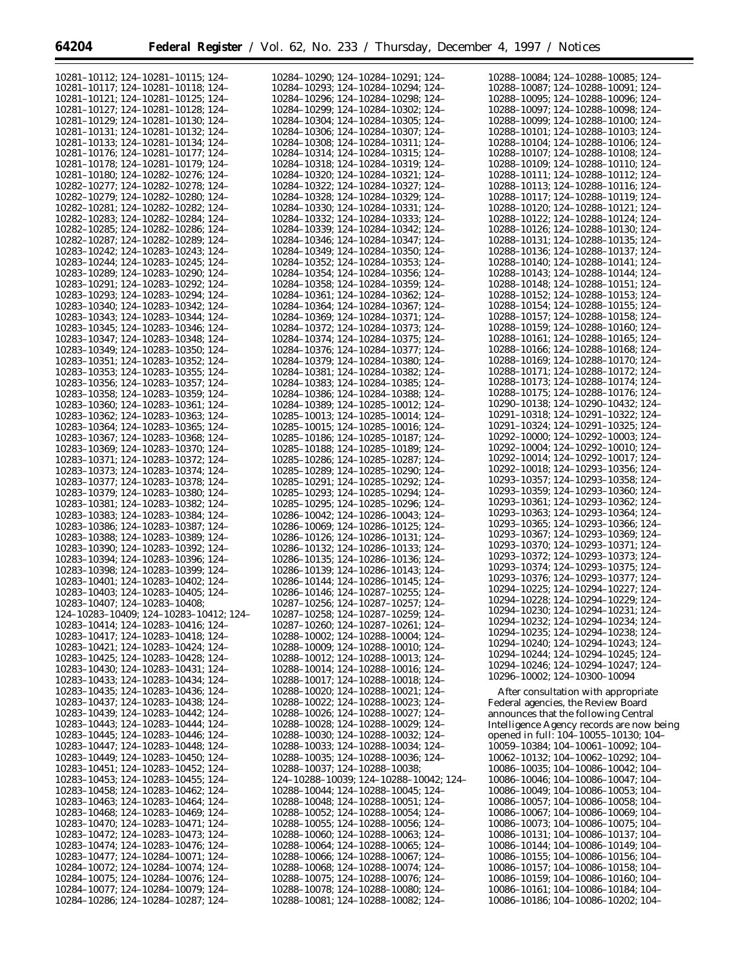$\equiv$ 

| 10281-10112; 124-10281-10115; 124-      | 10284-10290; 124-10284-10291; 124-             | 10288-10084; 124-10288-10085; 124-        |
|-----------------------------------------|------------------------------------------------|-------------------------------------------|
| 10281-10117: 124-10281-10118: 124-      | 10284-10293; 124-10284-10294; 124-             | 10288-10087; 124-10288-10091; 124-        |
| 10281-10121; 124-10281-10125; 124-      | 10284-10296; 124-10284-10298; 124-             | 10288-10095; 124-10288-10096; 124-        |
| 10281-10127; 124-10281-10128; 124-      | 10284-10299; 124-10284-10302; 124-             | 10288-10097; 124-10288-10098; 124-        |
| 10281-10129; 124-10281-10130; 124-      | 10284-10304; 124-10284-10305; 124-             | 10288-10099; 124-10288-10100; 124-        |
| 10281-10131; 124-10281-10132; 124-      | 10284-10306; 124-10284-10307; 124-             | 10288-10101; 124-10288-10103; 124-        |
| 10281-10133; 124-10281-10134; 124-      | 10284-10308; 124-10284-10311; 124-             | 10288-10104; 124-10288-10106; 124-        |
| 10281-10176; 124-10281-10177; 124-      | 10284-10314; 124-10284-10315; 124-             | 10288-10107; 124-10288-10108; 124-        |
|                                         |                                                |                                           |
| 10281-10178; 124-10281-10179; 124-      | 10284-10318; 124-10284-10319; 124-             | 10288-10109; 124-10288-10110; 124-        |
| 10281-10180; 124-10282-10276; 124-      | 10284-10320; 124-10284-10321; 124-             | 10288-10111; 124-10288-10112; 124-        |
| 10282-10277; 124-10282-10278; 124-      | 10284-10322; 124-10284-10327; 124-             | 10288-10113; 124-10288-10116; 124-        |
| 10282-10279: 124-10282-10280: 124-      | 10284-10328: 124-10284-10329: 124-             | 10288-10117; 124-10288-10119; 124-        |
| 10282-10281; 124-10282-10282; 124-      | 10284-10330; 124-10284-10331; 124-             | 10288-10120; 124-10288-10121; 124-        |
| 10282-10283; 124-10282-10284; 124-      | 10284-10332; 124-10284-10333; 124-             | 10288-10122: 124-10288-10124: 124-        |
| 10282-10285; 124-10282-10286; 124-      | 10284-10339; 124-10284-10342; 124-             | 10288-10126; 124-10288-10130; 124-        |
| 10282-10287; 124-10282-10289; 124-      | 10284-10346; 124-10284-10347; 124-             | 10288-10131; 124-10288-10135; 124-        |
| 10283-10242; 124-10283-10243; 124-      | 10284-10349; 124-10284-10350; 124-             | 10288-10136; 124-10288-10137; 124-        |
|                                         |                                                |                                           |
| 10283-10244; 124-10283-10245; 124-      | 10284-10352; 124-10284-10353; 124-             | 10288-10140; 124-10288-10141; 124-        |
| 10283-10289; 124-10283-10290; 124-      | 10284-10354; 124-10284-10356; 124-             | 10288-10143; 124-10288-10144; 124-        |
| 10283-10291; 124-10283-10292; 124-      | 10284-10358; 124-10284-10359; 124-             | 10288-10148; 124-10288-10151; 124-        |
| 10283-10293; 124-10283-10294; 124-      | 10284-10361; 124-10284-10362; 124-             | 10288-10152; 124-10288-10153; 124-        |
| 10283-10340; 124-10283-10342; 124-      | 10284-10364; 124-10284-10367; 124-             | 10288-10154; 124-10288-10155; 124-        |
| 10283-10343; 124-10283-10344; 124-      | 10284-10369; 124-10284-10371; 124-             | 10288-10157; 124-10288-10158; 124-        |
| 10283-10345; 124-10283-10346; 124-      | 10284-10372; 124-10284-10373; 124-             | 10288-10159; 124-10288-10160; 124-        |
| 10283-10347; 124-10283-10348; 124-      | 10284-10374; 124-10284-10375; 124-             | 10288-10161; 124-10288-10165; 124-        |
| 10283-10349; 124-10283-10350; 124-      | 10284-10376; 124-10284-10377; 124-             | 10288-10166; 124-10288-10168; 124-        |
|                                         |                                                | 10288-10169; 124-10288-10170; 124-        |
| 10283-10351; 124-10283-10352; 124-      | 10284-10379; 124-10284-10380; 124-             |                                           |
| 10283-10353; 124-10283-10355; 124-      | 10284-10381; 124-10284-10382; 124-             | 10288-10171; 124-10288-10172; 124-        |
| 10283-10356; 124-10283-10357; 124-      | 10284-10383; 124-10284-10385; 124-             | 10288-10173; 124-10288-10174; 124-        |
| 10283-10358; 124-10283-10359; 124-      | 10284-10386; 124-10284-10388; 124-             | 10288-10175; 124-10288-10176; 124-        |
| 10283-10360; 124-10283-10361; 124-      | 10284-10389; 124-10285-10012; 124-             | 10290-10138; 124-10290-10432; 124-        |
| 10283-10362; 124-10283-10363; 124-      | 10285-10013; 124-10285-10014; 124-             | 10291-10318; 124-10291-10322; 124-        |
| 10283-10364; 124-10283-10365; 124-      | 10285-10015; 124-10285-10016; 124-             | 10291-10324; 124-10291-10325; 124-        |
| 10283-10367; 124-10283-10368; 124-      | 10285-10186; 124-10285-10187; 124-             | 10292-10000; 124-10292-10003; 124-        |
| 10283-10369; 124-10283-10370; 124-      | 10285-10188; 124-10285-10189; 124-             | 10292-10004; 124-10292-10010; 124-        |
|                                         |                                                | 10292-10014; 124-10292-10017; 124-        |
| 10283-10371; 124-10283-10372; 124-      | 10285-10286; 124-10285-10287; 124-             | 10292-10018; 124-10293-10356; 124-        |
| 10283-10373; 124-10283-10374; 124-      | 10285-10289; 124-10285-10290; 124-             |                                           |
| 10283-10377; 124-10283-10378; 124-      | 10285-10291; 124-10285-10292; 124-             | 10293-10357; 124-10293-10358; 124-        |
| 10283-10379; 124-10283-10380; 124-      | 10285-10293; 124-10285-10294; 124-             | 10293-10359; 124-10293-10360; 124-        |
| 10283-10381; 124-10283-10382; 124-      | 10285-10295; 124-10285-10296; 124-             | 10293-10361; 124-10293-10362; 124-        |
| 10283-10383; 124-10283-10384; 124-      | 10286-10042; 124-10286-10043; 124-             | 10293-10363; 124-10293-10364; 124-        |
| 10283-10386; 124-10283-10387; 124-      | 10286-10069; 124-10286-10125; 124-             | 10293-10365; 124-10293-10366; 124-        |
| 10283-10388; 124-10283-10389; 124-      | 10286-10126; 124-10286-10131; 124-             | 10293-10367; 124-10293-10369; 124-        |
| 10283-10390; 124-10283-10392; 124-      | 10286-10132; 124-10286-10133; 124-             | 10293-10370; 124-10293-10371; 124-        |
|                                         |                                                | 10293-10372; 124-10293-10373; 124-        |
| 10283-10394; 124-10283-10396; 124-      | 10286-10135; 124-10286-10136; 124-             | 10293-10374; 124-10293-10375; 124-        |
| 10283-10398; 124-10283-10399; 124-      | 10286-10139: 124-10286-10143: 124-             | 10293-10376: 124-10293-10377: 124-        |
| 10283-10401; 124-10283-10402; 124-      | 10286-10144; 124-10286-10145; 124-             |                                           |
| 10283-10403; 124-10283-10405; 124-      | 10286-10146; 124-10287-10255; 124-             | 10294-10225; 124-10294-10227; 124-        |
| 10283-10407; 124-10283-10408;           | 10287-10256; 124-10287-10257; 124-             | 10294-10228; 124-10294-10229; 124-        |
| 124-10283-10409; 124-10283-10412; 124-  | 10287-10258; 124-10287-10259; 124-             | 10294-10230; 124-10294-10231; 124-        |
| 10283-10414; 124-10283-10416; 124-      | 10287-10260; 124-10287-10261; 124-             | 10294–10232; 124–10294–10234; 124–        |
| 10283-10417; 124-10283-10418; 124-      | 10288-10002; 124-10288-10004; 124-             | 10294-10235; 124-10294-10238; 124-        |
| 10283-10421; 124-10283-10424; 124-      | $10288 - 10009$ ; 124-10288-10010; 124-        | 10294-10240; 124-10294-10243; 124-        |
|                                         |                                                | 10294-10244; 124-10294-10245; 124-        |
| 10283-10425; 124-10283-10428; 124-      | 10288-10012; 124-10288-10013; 124-             | 10294-10246; 124-10294-10247; 124-        |
| 10283-10430; 124-10283-10431; 124-      | 10288-10014; 124-10288-10016; 124-             | 10296-10002; 124-10300-10094              |
| 10283-10433; 124-10283-10434; 124-      | 10288-10017; 124-10288-10018; 124-             |                                           |
| 10283-10435; 124-10283-10436; 124-      | 10288-10020; 124-10288-10021; 124-             | After consultation with appropriate       |
| 10283-10437; 124-10283-10438; 124-      | 10288-10022; 124-10288-10023; 124-             | Federal agencies, the Review Board        |
| 10283-10439; 124-10283-10442; 124-      | 10288-10026; 124-10288-10027; 124-             | announces that the following Central      |
| 10283-10443; 124-10283-10444; 124-      | 10288-10028; 124-10288-10029; 124-             | Intelligence Agency records are now being |
| 10283-10445; 124-10283-10446; 124-      | 10288-10030; 124-10288-10032; 124-             | opened in full: 104–10055–10130; 104–     |
|                                         |                                                |                                           |
| 10283-10447; 124-10283-10448; 124-      | 10288-10033; 124-10288-10034; 124-             | 10059-10384; 104-10061-10092; 104-        |
| 10283-10449; 124-10283-10450; 124-      | 10288-10035; 124-10288-10036; 124-             | 10062-10132; 104-10062-10292; 104-        |
| 10283-10451; 124-10283-10452; 124-      | $10288 - 10037$ ; 124-10288-10038;             | 10086-10035; 104-10086-10042; 104-        |
| $10283 - 10453$ ; 124-10283-10455; 124- | $124-10288-10039$ ; $124-10288-10042$ ; $124-$ | 10086-10046; 104-10086-10047; 104-        |
| 10283-10458; 124-10283-10462; 124-      | 10288-10044; 124-10288-10045; 124-             | 10086-10049; 104-10086-10053; 104-        |
| 10283-10463; 124-10283-10464; 124-      | 10288-10048; 124-10288-10051; 124-             | 10086-10057; 104-10086-10058; 104-        |
| 10283-10468; 124-10283-10469; 124-      | $10288 - 10052$ ; 124-10288-10054; 124-        | 10086-10067; 104-10086-10069; 104-        |
| 10283-10470; 124-10283-10471; 124-      | $10288 - 10055$ ; 124-10288-10056; 124-        | 10086-10073; 104-10086-10075; 104-        |
|                                         |                                                |                                           |
| 10283-10472; 124-10283-10473; 124-      | $10288 - 10060$ ; 124-10288-10063; 124-        | 10086-10131; 104-10086-10137; 104-        |
| 10283-10474; 124-10283-10476; 124-      | $10288 - 10064$ ; 124-10288-10065; 124-        | 10086-10144; 104-10086-10149; 104-        |
| 10283-10477; 124-10284-10071; 124-      | 10288-10066; 124-10288-10067; 124-             | 10086-10155; 104-10086-10156; 104-        |
| 10284-10072; 124-10284-10074; 124-      | $10288 - 10068$ ; 124-10288-10074; 124-        | 10086-10157; 104-10086-10158; 104-        |
| 10284-10075; 124-10284-10076; 124-      | $10288 - 10075$ ; 124-10288-10076; 124-        | 10086-10159; 104-10086-10160; 104-        |
| 10284-10077; 124-10284-10079; 124-      | 10288-10078; 124-10288-10080; 124-             | 10086-10161; 104-10086-10184; 104-        |
| 10284-10286; 124-10284-10287; 124-      | 10288-10081; 124-10288-10082; 124-             | 10086-10186; 104-10086-10202; 104-        |
|                                         |                                                |                                           |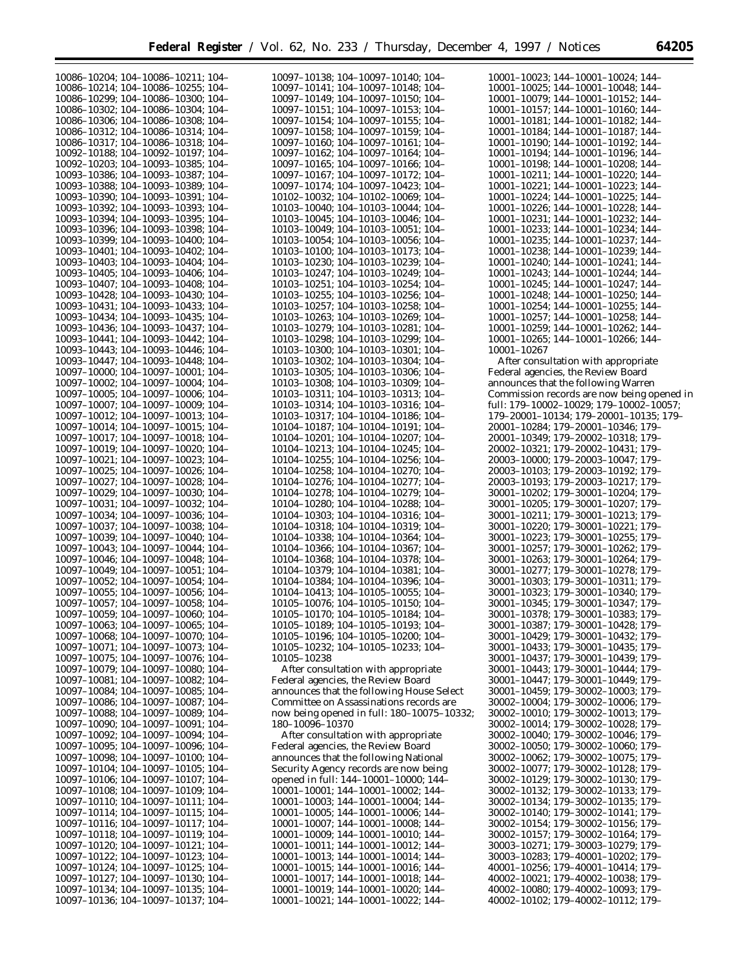| 10086-10204; 104-10086-10211; 104-                                       | 10097-10138; 104-10097-10140; 104-                                       | 10001-10023; 144-10001-10024; 144-                                       |
|--------------------------------------------------------------------------|--------------------------------------------------------------------------|--------------------------------------------------------------------------|
|                                                                          |                                                                          |                                                                          |
| 10086-10214; 104-10086-10255; 104-                                       | 10097-10141; 104-10097-10148; 104-                                       | 10001-10025; 144-10001-10048; 144-                                       |
| 10086-10299; 104-10086-10300; 104-                                       | 10097-10149; 104-10097-10150; 104-                                       | 10001-10079; 144-10001-10152; 144-                                       |
| 10086-10302; 104-10086-10304; 104-                                       | 10097-10151; 104-10097-10153; 104-                                       | 10001-10157; 144-10001-10160; 144-                                       |
|                                                                          |                                                                          |                                                                          |
| 10086-10306; 104-10086-10308; 104-                                       | 10097-10154; 104-10097-10155; 104-                                       | 10001-10181; 144-10001-10182; 144-                                       |
| 10086-10312; 104-10086-10314; 104-                                       | 10097-10158; 104-10097-10159; 104-                                       | 10001-10184: 144-10001-10187: 144-                                       |
|                                                                          |                                                                          |                                                                          |
| 10086-10317; 104-10086-10318; 104-                                       | 10097-10160; 104-10097-10161; 104-                                       | 10001-10190; 144-10001-10192; 144-                                       |
| 10092-10188; 104-10092-10197; 104-                                       | 10097-10162; 104-10097-10164; 104-                                       | 10001-10194; 144-10001-10196; 144-                                       |
|                                                                          |                                                                          |                                                                          |
| 10092-10203; 104-10093-10385; 104-                                       | 10097-10165; 104-10097-10166; 104-                                       | 10001-10198; 144-10001-10208; 144-                                       |
| 10093-10386; 104-10093-10387; 104-                                       | 10097-10167; 104-10097-10172; 104-                                       | 10001-10211; 144-10001-10220; 144-                                       |
| 10093-10388; 104-10093-10389; 104-                                       | 10097-10174; 104-10097-10423; 104-                                       | 10001-10221; 144-10001-10223; 144-                                       |
|                                                                          |                                                                          |                                                                          |
| 10093-10390; 104-10093-10391; 104-                                       | 10102-10032; 104-10102-10069; 104-                                       | 10001-10224; 144-10001-10225; 144-                                       |
| 10093-10392; 104-10093-10393; 104-                                       | 10103-10040; 104-10103-10044; 104-                                       | 10001-10226; 144-10001-10228; 144-                                       |
|                                                                          |                                                                          |                                                                          |
| 10093-10394; 104-10093-10395; 104-                                       | 10103-10045; 104-10103-10046; 104-                                       | 10001-10231; 144-10001-10232; 144-                                       |
| 10093-10396; 104-10093-10398; 104-                                       | 10103-10049; 104-10103-10051; 104-                                       | 10001-10233; 144-10001-10234; 144-                                       |
| 10093-10399; 104-10093-10400; 104-                                       | 10103-10054; 104-10103-10056; 104-                                       | 10001-10235; 144-10001-10237; 144-                                       |
|                                                                          |                                                                          |                                                                          |
| 10093-10401; 104-10093-10402; 104-                                       | 10103-10100; 104-10103-10173; 104-                                       | 10001-10238; 144-10001-10239; 144-                                       |
| 10093-10403; 104-10093-10404; 104-                                       | 10103-10230; 104-10103-10239; 104-                                       | 10001-10240; 144-10001-10241; 144-                                       |
|                                                                          |                                                                          |                                                                          |
| 10093-10405; 104-10093-10406; 104-                                       | 10103-10247; 104-10103-10249; 104-                                       | 10001-10243; 144-10001-10244; 144-                                       |
| 10093-10407; 104-10093-10408; 104-                                       | 10103-10251; 104-10103-10254; 104-                                       | 10001-10245; 144-10001-10247; 144-                                       |
| 10093-10428; 104-10093-10430; 104-                                       | 10103-10255; 104-10103-10256; 104-                                       | 10001-10248; 144-10001-10250; 144-                                       |
|                                                                          |                                                                          |                                                                          |
| 10093-10431; 104-10093-10433; 104-                                       | 10103-10257; 104-10103-10258; 104-                                       | 10001-10254; 144-10001-10255; 144-                                       |
| 10093-10434; 104-10093-10435; 104-                                       | 10103-10263; 104-10103-10269; 104-                                       | 10001-10257; 144-10001-10258; 144-                                       |
|                                                                          |                                                                          |                                                                          |
| 10093-10436; 104-10093-10437; 104-                                       | 10103-10279; 104-10103-10281; 104-                                       | 10001-10259; 144-10001-10262; 144-                                       |
| 10093-10441; 104-10093-10442; 104-                                       | 10103-10298; 104-10103-10299; 104-                                       | 10001-10265; 144-10001-10266; 144-                                       |
| 10093-10443; 104-10093-10446; 104-                                       |                                                                          |                                                                          |
|                                                                          | 10103-10300; 104-10103-10301; 104-                                       | 10001-10267                                                              |
| 10093-10447; 104-10093-10448; 104-                                       | 10103-10302; 104-10103-10304; 104-                                       | After consultation with appropriate                                      |
| 10097-10000; 104-10097-10001; 104-                                       | 10103-10305; 104-10103-10306; 104-                                       | Federal agencies, the Review Board                                       |
|                                                                          |                                                                          |                                                                          |
| 10097-10002; 104-10097-10004; 104-                                       | 10103-10308; 104-10103-10309; 104-                                       | announces that the following Warren                                      |
| 10097-10005; 104-10097-10006; 104-                                       | 10103-10311; 104-10103-10313; 104-                                       | Commission records are now being opened in                               |
|                                                                          |                                                                          |                                                                          |
| 10097-10007; 104-10097-10009; 104-                                       | 10103-10314; 104-10103-10316; 104-                                       | full: 179-10002-10029; 179-10002-10057;                                  |
| 10097-10012; 104-10097-10013; 104-                                       | 10103-10317; 104-10104-10186; 104-                                       | 179-20001-10134; 179-20001-10135; 179-                                   |
| 10097-10014; 104-10097-10015; 104-                                       | 10104-10187; 104-10104-10191; 104-                                       | 20001-10284; 179-20001-10346; 179-                                       |
|                                                                          |                                                                          |                                                                          |
| 10097-10017; 104-10097-10018; 104-                                       | 10104-10201; 104-10104-10207; 104-                                       | 20001-10349; 179-20002-10318; 179-                                       |
| 10097-10019; 104-10097-10020; 104-                                       | 10104-10213; 104-10104-10245; 104-                                       | 20002-10321; 179-20002-10431; 179-                                       |
|                                                                          |                                                                          |                                                                          |
| 10097-10021; 104-10097-10023; 104-                                       | 10104-10255; 104-10104-10256; 104-                                       | 20003-10000; 179-20003-10047; 179-                                       |
| 10097-10025; 104-10097-10026; 104-                                       | 10104-10258; 104-10104-10270; 104-                                       | 20003-10103; 179-20003-10192; 179-                                       |
| 10097-10027; 104-10097-10028; 104-                                       | 10104-10276; 104-10104-10277; 104-                                       | 20003-10193; 179-20003-10217; 179-                                       |
|                                                                          |                                                                          |                                                                          |
| 10097-10029; 104-10097-10030; 104-                                       | 10104-10278; 104-10104-10279; 104-                                       | 30001-10202; 179-30001-10204; 179-                                       |
| 10097-10031; 104-10097-10032; 104-                                       | 10104-10280; 104-10104-10288; 104-                                       | 30001-10205; 179-30001-10207; 179-                                       |
|                                                                          |                                                                          |                                                                          |
| 10097-10034; 104-10097-10036; 104-                                       | 10104-10303; 104-10104-10316; 104-                                       | 30001-10211; 179-30001-10213; 179-                                       |
| 10097-10037; 104-10097-10038; 104-                                       | 10104-10318; 104-10104-10319; 104-                                       | 30001-10220; 179-30001-10221; 179-                                       |
| 10097-10039; 104-10097-10040; 104-                                       | 10104-10338; 104-10104-10364; 104-                                       | 30001-10223; 179-30001-10255; 179-                                       |
|                                                                          |                                                                          |                                                                          |
| 10097-10043; 104-10097-10044; 104-                                       | 10104-10366; 104-10104-10367; 104-                                       | 30001-10257; 179-30001-10262; 179-                                       |
| 10097-10046; 104-10097-10048; 104-                                       | 10104-10368; 104-10104-10378; 104-                                       | 30001-10263; 179-30001-10264; 179-                                       |
|                                                                          |                                                                          |                                                                          |
| 10097-10049; 104-10097-10051; 104-                                       | 10104-10379; 104-10104-10381; 104-                                       | 30001-10277; 179-30001-10278; 179-                                       |
| 10097-10052; 104-10097-10054; 104-                                       | 10104-10384; 104-10104-10396; 104-                                       | 30001-10303; 179-30001-10311; 179-                                       |
| 10097-10055; 104-10097-10056; 104-                                       | 10104-10413; 104-10105-10055; 104-                                       | 30001-10323; 179-30001-10340; 179-                                       |
|                                                                          |                                                                          |                                                                          |
| 10097-10057; 104-10097-10058; 104-                                       | 10105-10076; 104-10105-10150; 104-                                       | 30001-10345; 179-30001-10347; 179-                                       |
| 10097-10059; 104-10097-10060; 104-                                       | 10105-10170; 104-10105-10184; 104-                                       | 30001-10378; 179-30001-10383; 179-                                       |
| 10097-10063; 104-10097-10065; 104-                                       |                                                                          |                                                                          |
|                                                                          | 10105-10189; 104-10105-10193; 104-                                       | 30001-10387; 179-30001-10428; 179-                                       |
| 10097-10068; 104-10097-10070; 104-                                       | 10105-10196; 104-10105-10200; 104-                                       | 30001–10429; 179–30001–10432; 179–                                       |
| 10097-10071; 104-10097-10073; 104-                                       | 10105–10232; 104–10105–10233; 104–                                       | 30001–10433; 179–30001–10435; 179–                                       |
|                                                                          |                                                                          |                                                                          |
| 10097-10075; 104-10097-10076; 104-                                       | 10105-10238                                                              | 30001-10437; 179-30001-10439; 179-                                       |
| 10097-10079; 104-10097-10080; 104-                                       | After consultation with appropriate                                      | 30001-10443; 179-30001-10444; 179-                                       |
| 10097-10081; 104-10097-10082; 104-                                       | Federal agencies, the Review Board                                       | 30001-10447; 179-30001-10449; 179-                                       |
|                                                                          |                                                                          |                                                                          |
| 10097-10084; 104-10097-10085; 104-                                       | announces that the following House Select                                | 30001-10459; 179-30002-10003; 179-                                       |
| $10097 - 10086$ ; 104-10097-10087; 104-                                  | Committee on Assassinations records are                                  | 30002-10004; 179-30002-10006; 179-                                       |
|                                                                          | now being opened in full: 180-10075-10332;                               |                                                                          |
| $10097 - 10088$ ; 104-10097-10089; 104-                                  |                                                                          | 30002–10010; 179–30002–10013; 179–                                       |
| $10097 - 10090$ ; $104 - 10097 - 10091$ ; $104 -$                        | 180-10096-10370                                                          | 30002-10014; 179-30002-10028; 179-                                       |
| $10097 - 10092$ ; $104 - 10097 - 10094$ ; $104 -$                        | After consultation with appropriate                                      | 30002-10040; 179-30002-10046; 179-                                       |
|                                                                          |                                                                          |                                                                          |
| $10097 - 10095$ ; 104-10097-10096; 104-                                  | Federal agencies, the Review Board                                       | 30002–10050; 179–30002–10060; 179–                                       |
| 10097-10098; 104-10097-10100; 104-                                       | announces that the following National                                    | 30002–10062; 179–30002–10075; 179–                                       |
|                                                                          |                                                                          |                                                                          |
| 10097-10104; 104-10097-10105; 104-                                       | Security Agency records are now being                                    | 30002–10077; 179–30002–10128; 179–                                       |
| 10097-10106; 104-10097-10107; 104-                                       | opened in full: 144-10001-10000; 144-                                    | 30002–10129; 179–30002–10130; 179–                                       |
| $10097 - 10108$ ; 104-10097-10109; 104-                                  | $10001-10001$ ; $144-10001-10002$ ; $144-$                               | 30002–10132; 179–30002–10133; 179–                                       |
|                                                                          |                                                                          |                                                                          |
| 10097-10110; 104-10097-10111; 104-                                       | 10001–10003; 144–10001–10004; 144–                                       | 30002–10134; 179–30002–10135; 179–                                       |
| 10097-10114; 104-10097-10115; 104-                                       | $10001-10005$ ; 144-10001-10006; 144-                                    | 30002–10140; 179–30002–10141; 179–                                       |
|                                                                          |                                                                          |                                                                          |
| 10097-10116; 104-10097-10117; 104-                                       | 10001–10007; 144–10001–10008; 144–                                       | 30002–10154; 179–30002–10156; 179–                                       |
| $10097 - 10118$ ; $104 - 10097 - 10119$ ; $104 -$                        | $10001-10009$ ; 144-10001-10010; 144-                                    | 30002–10157; 179–30002–10164; 179–                                       |
| 10097-10120; 104-10097-10121; 104-                                       | 10001–10011; 144–10001–10012; 144–                                       | 30003–10271; 179–30003–10279; 179–                                       |
|                                                                          |                                                                          |                                                                          |
| 10097-10122; 104-10097-10123; 104-                                       | $10001-10013$ ; 144-10001-10014; 144-                                    | 30003–10283; 179–40001–10202; 179–                                       |
| 10097-10124; 104-10097-10125; 104-                                       | 10001–10015; 144–10001–10016; 144–                                       | 40001–10256; 179–40001–10414; 179–                                       |
|                                                                          | $10001-10017$ ; 144-10001-10018; 144-                                    | 40002–10021; 179–40002–10038; 179–                                       |
| 10097-10127; 104-10097-10130; 104-                                       |                                                                          |                                                                          |
|                                                                          |                                                                          |                                                                          |
| 10097-10134; 104-10097-10135; 104-<br>10097-10136; 104-10097-10137; 104- | 10001-10019; 144-10001-10020; 144-<br>10001-10021; 144-10001-10022; 144- | 40002-10080; 179-40002-10093; 179-<br>40002-10102; 179-40002-10112; 179- |